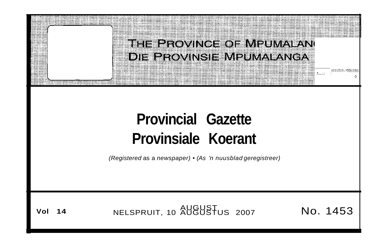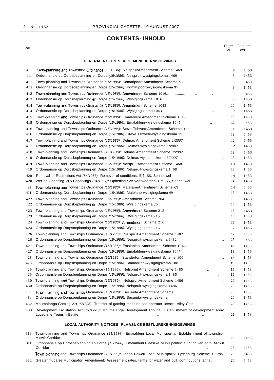## **CONTENTS· INHOUD**

No.

## **GENERAL NOTICES, ALGEMENE KENNISGEWINGS**

| 411 | Town-planning and Townships Ordinance (15/19B6): NelspruitAmendment Scheme 1469                                                                                              | $\,8\,$ | 1453 |
|-----|------------------------------------------------------------------------------------------------------------------------------------------------------------------------------|---------|------|
| 411 | Ordonnansie op Dorpsbeplanning en Dorpe (15/1986): Nelspruit-wysigingskema 1469                                                                                              | 8       | 1453 |
| 412 | Town-planning and Townships Ordinance (15/1986): Komatipoort Amendment Scheme 97                                                                                             | 8       | 1453 |
| 412 | Ordonnansie op Dorpsoeplanning en Dorpe (15/1986): Komatipoort-wysigingskema 97                                                                                              | 9       | 1453 |
| 413 | Town-planning and Townships Ordinance (15/1986): Amendment Scheme 1016                                                                                                       | 9       | 1453 |
| 413 | Ordonnansie op Dorpsbeplarmlnq eπ Dorpe (15/1986): Wysigingskema 1016<br>                                                                                                    | 9       | 1453 |
| 414 | Town-planning and Townships Ordinance (15/1986): Amendment Scheme 1043                                                                                                       | 10      | 1453 |
| 414 | Ordonnansie op Dorpsbeplanning en Dorpe (15/1986): Wysigingskema 1043<br>$\ddot{\phantom{a}}$                                                                                | 10      | 1453 |
| 415 | Town-planning and Townships Ordinance (15/1986): Emalahleni Amendment Scheme 1045<br>$\ddot{\phantom{a}}$                                                                    | 11      | 1453 |
| 415 | Ordonnansie op Dorpsbeplaoning en Dorpe (15/19B6): Emalahleni-wysigingskema 1045                                                                                             | 11      | 1453 |
| 416 | Town-planning and Townships Ordinance (15/1986): Steve TshweteAmendment Scheme 195                                                                                           | 11      | 1453 |
| 416 | Ordonnansie op Dorpsbeplanning en Dorpe (15/1986): Steve Tshwete-wysigingskema 195                                                                                           | 12      | 1453 |
| 417 | Town-planning and Townships Ordinance (15/1986): Delmas Amendment Scheme 1/2007<br>$\cdot$                                                                                   | 12      | 1453 |
| 417 | Ordonnansie op Dorpsoeplanning en Dorpe (15/1986): Delmas-wysigingskema 1/2007<br>$\ddot{\phantom{a}}$                                                                       | 12      | 1453 |
| 418 | Town-planning and Townships Ordinance (15/19B6): Delmas Amendment Scheme 3/2007                                                                                              | 12      | 1453 |
| 418 | Ordonnansle op Oorpsbeplarmmq en Dorpe (15/1986): Delmas-wystqlnpskerna 3/2007<br>$\ddot{\phantom{a}}$                                                                       | 13      | 1453 |
| 419 | Town-planning and Townships Ordinance (15/1986): NelspruitAmendment Scheme 1468<br>                                                                                          | 13      | 1453 |
| 419 | Ordonnansie op Dorpsbeplanning en Dorpe (15/1986): Nelspruit-wysigingskema 1468<br>$\cdot$                                                                                   | 13      | 1453 |
| 420 | Removal of Restrictions Act (84/1967): Removal of conditions: Erf 155, Sonheuwel<br>$\ddot{\phantom{a}}$                                                                     | 14      | 1453 |
| 420 | Wet op Opheffing van Beperkings (84/1967): Opheffing van voorwaardes: Erf 155, Sonheuwel<br>                                                                                 | 14      | 1453 |
| 421 | Town-planning and Townships Ordinance (15/1986): MalelaneAmendment Scheme 69                                                                                                 | 14      | 1453 |
| 421 | Ordormansia op Dorpsbeplanning en Dorpe (15/1986): Malelane-wysigingskema 69<br>$\ddotsc$                                                                                    | 15      | 1453 |
| 422 | Town-planning and Townships Ordinance (15/1986): Amendment Scheme 204<br>$\ddot{\phantom{a}}$                                                                                | 15      | 1453 |
| 422 | Ordonnansie op Dorpsbeplanning en Dorpe (15/1986): Wysigingskema 204<br>$\ddot{\phantom{a}}$                                                                                 | 15      | 1453 |
| 423 | Town-planning and Townships Ordinance (15/1986): Amendment Scheme 215<br>$\cdot$                                                                                             | 16      | 1453 |
| 423 | Ordonnansie op Dorpsbeplanning en Dorpe (15/1986): Wysigingskema 215<br>                                                                                                     | 16      | 1453 |
| 424 | Town-pianning and Townships Ordinance (15/1986): Amendment Scheme 216<br>$\ddotsc$                                                                                           | 16      | 1453 |
| 424 | Ordonnansie op Dorpsoeplanning en Dorpe (15/1986): Wysigingskema 216<br>$\ldots$                                                                                             | 17      | 1453 |
| 426 | Town-planning and Townships Ordinance (15/1986): Nelspruit Amendment Scheme 1482<br>                                                                                         | 17      | 1453 |
| 426 | Ordonnansie op Dorpsbeplanmng en Dorpe (15/1986): Neispruit-wysigingskema 1482<br>$\ddot{\phantom{a}}$                                                                       | 17      | 1453 |
| 427 | Town-planning and Townships Ordinance (15/1986): Emalahleni Amendment Scheme 1047.<br>$\ddot{\phantom{a}}$                                                                   | 18      | 1453 |
| 427 | Ordonnansie op Dorpsoeplanning en Dorpe (15/1986): Emalahleni-wysigingskema 1047                                                                                             | 18      | 1453 |
| 428 | Town-planning and Townships Ordinance (15/1986): Standerton Amendment Scheme 100<br>$\ddot{\phantom{a}}$                                                                     | 18      | 1453 |
| 428 | Ordonnansie op Dorpsbsplanning en Dorpe (15/1986): Standerton-wysigingskema 100<br>$\ddot{\phantom{a}}$                                                                      | 19      | 1453 |
| 429 | Town-planning and Townships Ordinance (15/1986): Nelspruit Amendment Scheme 1485                                                                                             | 19      | 1453 |
| 429 | Ordonnansle op Dorpsbeplanning en Dorpe (15/1986): Nelspruit-wysigingskema 1485                                                                                              | 19      | 1453 |
| 430 | Town-planning and Townships Ordinance (15/1986): NelspruitAmendment Scheme 1486                                                                                              | 20      | 1453 |
| 430 | Ordonnansie op Dorpsbeplanning en Dorpe (15/1986): Nelspruit-wysigingskema 1486<br>                                                                                          | 20      | 1453 |
| 431 | Town-planning and Townships Ordinance (15/1986): Secunda Amendment Scheme<br>$\sim 100$                                                                                      | 20      | 1453 |
| 431 | Ordonnansie op Dorpsoeplanning en Dorpe (15/1986): Secunda-wysigingskema<br>                                                                                                 | 20      | 1453 |
| 432 | Mpumalanga Gaming Act (5/1995): Transfer of gaming machine site operator licence: Alley Cats<br>$\ddot{\phantom{a}}$                                                         | 20      | 1453 |
| 433 | Development Facilitation Act (67/1995): Mpumalanga Development Tribunal: Establishment of development area:<br>Lugedlane Tourism Estate<br>$\ddot{\phantom{a}}$<br>$\ddotsc$ | 22      | 1453 |
|     | <b>LOCAL AUTHORITY NOTICES. PLAASUKE BESTUURSKENNISGEWINGS</b>                                                                                                               |         |      |
|     |                                                                                                                                                                              |         |      |
| 311 | Town-planning and Townships Ordinance (15/1986): Emaiahleni Local Municipality: Establishment of township:                                                                   |         |      |
| 311 | Midwit Corridor<br>Ordonnansie op Dorpsoeplanning en Dorpe (15/1986): Emaiahleni Plaaslike Munisipaliteit: Stigting van dorp: Midwit                                         | 25      | 1453 |
|     | Corridor.                                                                                                                                                                    | 25      | 1453 |
| 331 | Town-planning and Townships Ordinance (15/1986): Thana Chweu Local Municipality: Lydenburg Scheme 166/95.                                                                    | 26      | 1453 |

332 Greater Tubalse Municipality: Amendment: Assessment rates, tariffs for water and bulk contributions tanfta . 20 1453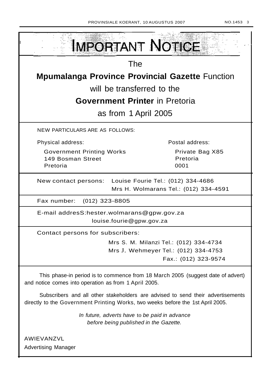| IMPORTANT NOTICE                                                                                                                                                   |                                                                                                        |  |  |
|--------------------------------------------------------------------------------------------------------------------------------------------------------------------|--------------------------------------------------------------------------------------------------------|--|--|
| <b>The</b>                                                                                                                                                         |                                                                                                        |  |  |
| <b>Mpumalanga Province Provincial Gazette Function</b>                                                                                                             |                                                                                                        |  |  |
| will be transferred to the                                                                                                                                         |                                                                                                        |  |  |
| <b>Government Printer</b> in Pretoria                                                                                                                              |                                                                                                        |  |  |
| as from 1 April 2005                                                                                                                                               |                                                                                                        |  |  |
| <b>NEW PARTICULARS ARE AS FOLLOWS:</b>                                                                                                                             |                                                                                                        |  |  |
| Physical address:                                                                                                                                                  | Postal address:                                                                                        |  |  |
| <b>Government Printing Works</b><br>149 Bosman Street<br>Pretoria                                                                                                  | Private Bag X85<br>Pretoria<br>0001                                                                    |  |  |
| Louise Fourie Tel.: (012) 334-4686<br>New contact persons:<br>Mrs H. Wolmarans Tel.: (012) 334-4591                                                                |                                                                                                        |  |  |
| Fax number: (012) 323-8805                                                                                                                                         |                                                                                                        |  |  |
| E-mail addresS:hester.wolmarans@gpw.gov.za<br>louise.fourie@gpw.gov.za                                                                                             |                                                                                                        |  |  |
| Contact persons for subscribers:                                                                                                                                   |                                                                                                        |  |  |
|                                                                                                                                                                    | Mrs S. M. Milanzi Tel.: (012) 334-4734<br>Mrs J. Wehmeyer Tel.: (012) 334-4753<br>Fax.: (012) 323-9574 |  |  |
| This phase-in period is to commence from 18 March 2005 (suggest date of advert)<br>and notice comes into operation as from 1 April 2005.                           |                                                                                                        |  |  |
| Subscribers and all other stakeholders are advised to send their advertisements<br>directly to the Government Printing Works, two weeks before the 1st April 2005. |                                                                                                        |  |  |
| In future, adverts have to be paid in advance<br>before being published in the Gazette.                                                                            |                                                                                                        |  |  |

AWIEVANZVL Advertising Manager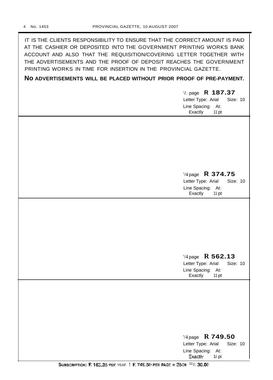| IT IS THE CLIENTS RESPONSIBILITY TO ENSURE THAT THE CORRECT AMOUNT IS PAID |
|----------------------------------------------------------------------------|
| AT THE CASHIER OR DEPOSITED INTO THE GOVERNMENT PRINTING WORKS BANK        |
| ACCOUNT AND ALSO THAT THE REQUISITION/COVERING LETTER TOGETHER WITH        |
| THE ADVERTISEMENTS AND THE PROOF OF DEPOSIT REACHES THE GOVERNMENT         |
| PRINTING WORKS IN TIME FOR INSERTION IN THE PROVINCIAL GAZETTE.            |
| NO ADVERTISEMENTS WILL BE PLACED WITHOUT PRIOR PROOF OF PRE-PAYMENT.       |
| $\frac{1}{2}$ . page R 187.37                                              |

| $1.1$ $\mu$ $\mu$ $\mu$ $\mu$ $\mu$<br>Letter Type: Arial<br>Size: 10<br>Line Spacing:<br>At:<br>Exactly<br>11 pt |
|-------------------------------------------------------------------------------------------------------------------|
|                                                                                                                   |
|                                                                                                                   |
| '/4 page R 374.75<br>Letter Type: Arial<br>Size: 10<br>Line Spacing: At:<br>Exactly<br>11 pt                      |
|                                                                                                                   |
|                                                                                                                   |
| $\frac{1}{4}$ page R 562.13<br>Letter Type: Arial<br>Size: 10<br>Line Spacing: At:<br>Exactly<br>11 pt            |
|                                                                                                                   |
|                                                                                                                   |
| '/4 page R 749.50<br>Letter Type: Arial<br>Size: 10<br>Line Spacing: At:<br>Exactly<br>1i pi                      |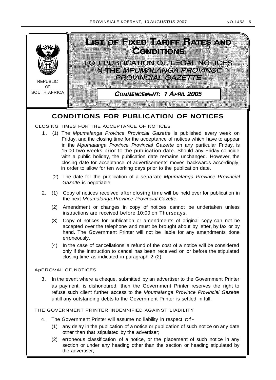



## **CONDITIONS FOR PUBLICATION OF NOTICES**

## CLOSING TIMES FOR THE ACCEPTANCE OF NOTICES

- 1. (1) The Mpumalanga Province Provincial Gazette is published every week on Friday, and the closing time for the acceptance of notices which have to appear in the Mpumalanga Province Provincial Gazette on any particular Friday, is 15:00 two weeks prior to the publication date. Should any Friday coincide with a public holiday, the publication date remains unchanged. However, the closing date for acceptance of advertisements moves backwards accordingly, in order to allow for ten working days prior to the publication date.
	- (2) The date for the publication of a separate Mpumalanga Province Provincial Gazette is negotiable.
- 2. (1) Copy of notices received after closing time will be held over for publication in the next Mpumalanga Province Provincial Gazette.
	- (2) Amendment or changes in copy of notices cannot be undertaken unless instructions are received before 10:00 on Thursdays.
	- (3) Copy of notices for publication or amendments of original copy can not be accepted over the telephone and must be brought about by letter, by fax or by hand. The Government Printer will not be liable for any amendments done erroneously.
	- (4) In the case of cancellations a refund of the cost of a notice will be considered only if the instruction to cancel has been received on or before the stipulated closing time as indicated in paragraph 2 (2).

## ApPROVAL OF NOTICES

3. In the event where a cheque, submitted by an advertiser to the Government Printer as payment, is dishonoured, then the Government Printer reserves the right to refuse such client further access to the Mpumalanga Province Provincial Gazette untill any outstanding debts to the Government Printer is settled in full.

## THE GOVERNMENT PRINTER INDEMNIFIED AGAINST LIABILITY

- 4. The Government Printer will assume no liability in respect of-
	- (1) any delay in the publication of a notice or publication of such notice on any date other than that stipulated by the advertiser;
	- (2) erroneous classification of a notice, or the placement of such notice in any section or under any heading other than the section or heading stipulated by the advertiser;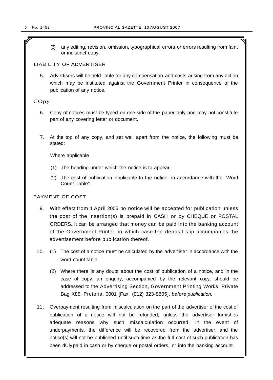r

(3) any editing, revision, omission, typographical errors or errors resulting from faint or indistinct copy.

## LIABILITY OF ADVERTISER

5. Advertisers will be held liable for any compensation and costs arising from any action which may be instituted against the Government Printer in consequence of the publication of any notice.

## **COpy**

- 6. Copy of notices must be typed on one side of the paper only and may not constitute part of any covering letter or document.
- 7. At the top of any copy, and set well apart from the notice, the following must be stated:

Where applicable

- (1) The heading under which the notice is to appear.
- (2) The cost of publication applicable to the notice, in accordance with the "Word Count Table".

## PAYMENT OF COST

- 9. With effect from 1 April 2005 no notice will be accepted for publication unless the cost of the insertion(s) is prepaid in CASH or by CHEQUE or POSTAL ORDERS. It can be arranged that money can be paid into the banking account of the Government Printer, in which case the deposit slip accompanies the advertisement before publication thereof.
- 10. (1) The cost of a notice must be calculated by the advertiser in accordance with the word count table.
	- (2) Where there is any doubt about the cost of publication of a notice, and in the case of copy, an enquiry, accompanied by the relevant copy, should be addressed to the Advertising Section, Government Printing Works, Private Bag X85, Pretoria, 0001 [Fax: (012) 323-8805], before publication.
- 11. Overpayment resulting from miscalculation on the part of the advertiser of the cost of publication of a notice will not be refunded, unless the advertiser furnishes adequate reasons why such miscalculation occurred. In the event of underpayments, the difference will be recovered from the advertiser, and the notice(s) will not be published until such time as the full cost of such publication has been dUlypaid in cash or by cheque or postal orders, or into the banking account.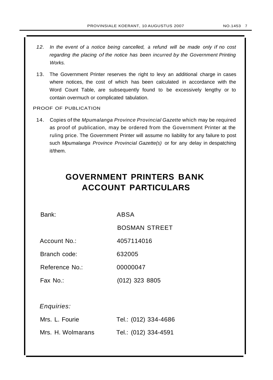- 12. In the event of a notice being cancelled, a refund will be made only if no cost regarding the placing of the notice has been incurred by the Government Printing Works.
- 13. The Government Printer reserves the right to levy an additional charge in cases where notices, the cost of which has been calculated in accordance with the Word Count Table, are subsequently found to be excessively lengthy or to contain overmuch or complicated tabulation.

## PROOF OF PUBLICATION

14. Copies of the Mpumalanga Province Provincial Gazette which may be required as proof of publication, may be ordered from the Government Printer at the ruling price. The Government Printer will assume no liability for any failure to post such Mpumalanga Province Provincial Gazette(s) or for any delay in despatching it/them.

# **GOVERNMENT PRINTERS BANK ACCOUNT PARTICULARS**

Bank: ABSA

BOSMAN STREET

Account No.: 4057114016

Branch code: 632005

Reference No.: 00000047

Fax No.: (012) 323 8805

Enquiries:

| Mrs. L. Fourie    | Tel.: (012) 334-4686 |
|-------------------|----------------------|
| Mrs. H. Wolmarans | Tel.: (012) 334-4591 |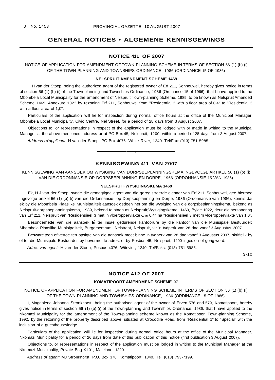## **GENERAL NOTICES • ALGEMENE KENNISGEWINGS**

#### **NOTICE 411 OF 2007**

NOTICE OF APPLICATION FOR AMENDMENT OF TOWN-PLANNING SCHEME IN TERMS OF SECTION 56 (1) (b) (i) OF THE TOWN-PLANNING AND TOWNSHIPS ORDINANCE, 1986 (ORDINANCE 15 OF 1986)

#### **NELSPRUIT AMENDMENT SCHEME 1469**

I, H van der Stoep, being the authorized agent of the registered owner of Erf 211, Sonheuwel, hereby gives notice in terms of section 56 (1) (b) (i) of the Town-planning and Townships Ordinance, 1986 (Ordinance 15 of 1966), that I have applied to the Mbombela Local Municipality for the amendment of Nelspruit Town-planning Scheme, 1989, to be known as Nelspruit Amended Scheme 1469, Annexure 1022 by rezoning Erf 211, Sonheuwel from "Residential 3 with a floor area of 0,4" to "Residential 3 with a floor area of 1,0".

Particulars of the application will lie for inspection during normal office hours at the office of the Municipal Manager, Mbombela Local Municipality, Civic Centre, Nel Street, for a period of 28 days from 3 August 2007.

Objections to, or representations in respect of the application must be lodged with or made in writing to the Municipal Manager at the above-mentioned address or at PO Box 45, Nelspruit, 1200, within a period of 28 days from 3 August 2007.

Address of applicant: H van der Stoep, PO Box 4076, White River, 1240. Tel/Fax: (013) 751-5985.

#### **KENNISGEWING 411 VAN 2007**

**•**

KENNISGEWING VAN AANSOEK OM WYSIGING VAN DORPSBEPLANNINGSKEMA INGEVOLGE ARTIKEL 56 (1) (b) (i) VAN DIE ORDONNANSIE OP DORPSBEPLANNING EN DORPE, 1966 (ORDONNANSIE 15 VAN 1986)

#### **NELSPRUIT·WYSIGINGSKEMA 1469**

Ek, H J van der Stoep, synde die gemagtigde agent van die geregistreerde eienaar van Erf 211, Sonheuwel, gee hiermee ingevolge artikel 56 (1) (b) (i) van die Ordonnansie- op Dorpsbeplanning en Dorpe, 1986 (Ordonnansie van 1986), kennis dat ek by die Mbombela Plaaslike Munisipaliteit aansoek gedoen het om die wysiging van die dorpsbeplanningskema, bekend as Nelspruit-dorpsbeplanningskema, 1989, bekend te staan as Nelspruit;Wysigingskema, 1469, Bylae 1022, deur die hersonering van Erf 211, Nelspruit van "Residensieel 3 met 'n vloeroppervlakte van 0,4" na "Residensieel 3 met 'n vloeroppervlakte van 1,0".

Besonderhede van die aansoek lê ter insae gedurende kantoorure by die kantoor van die Munisipale Bestuurder: Mbombela Plaaslike Munisipaliteit, Burgersentrum, Nelstraat, Nelspruit, vir 'n tydperk van 28 dae vanaf 3 Augustus 2007.

Besware teen of vertoe ten opsigte van die aansoek moet binne 'n tydperk van 28 dae vanaf 3 Augustus 2007, skriftelik by of tot die Munisipale Bestuurder by bovermelde adres, of by Posbus 45, Nelspruit, 1200 ingedien of gerig word.

Adres van agent: H van der Stoep, Posbus 4076, Witrivier, 1240. Tel/Faks: (013) 751-5985.

3-10

### **NOTICE 412 OF 2007**

#### **KOMATIPOORT AMENDMENT SCHEME** 97

NOTICE OF APPLICATION FOR AMENDMENT OF TOWN-PLANNING SCHEME IN TERMS OF SECTION 56 (1) (b) (i) OF THE TOWN-PLANNING AND TOWNSHIPS ORDINANCE, 1986 (ORDINANCE 15 OF 1986)

I, Magdalena Johanna Stronkhorst, being the authorised agent of the owner of Erven 578 and 579, Komatipoort, hereby gives notice in terms of section 56 (1) (b) (i) of the Town-planning and Townships Ordinance, 1986, that I have applied to the Nkomazi Municipality for the amendment of the Town-planning scheme known as the Komatipoorl Town-planning Scheme, 1992, by the rezoning of the property described above, situated at Crocodile Road, from "Residential 1" to "Special" with the inclusion of a guesthouse/lodge.

Particulars of the application will lie for inspection during normal office hours at the office of the Municipal Manager, Nkomazi Municipality for a period of 26 days from date of this publication of this notice (first publication 3 August 2007).

Objections to, or representations in respect of the application must be lodged in writing to the Municipal Manager at the Nkomazi Municipality, Private Bag X101, Malelane, 1320.

Address of agent: MJ Stronkhorst, P.O. Box 376. Komatipoort, 1340. Tel: (013) 793-7199.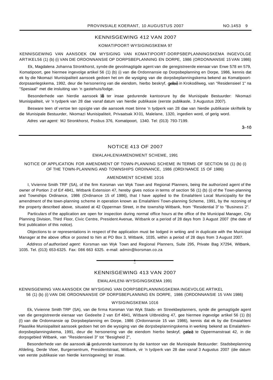## KENNISGEWING 412 VAN 2007

#### KOMATIPOORT·WYSIGINGSKEMA 97

KENNISGEWING VAN AANSOEK OM WYSIGING VAN KOMATIPOORT-DORPSBEPLANNINGSKEMA INGEVOLGE ARTIKEL56 (1) (b) (i) VAN DIE ORDONNANSIE OP DORPSBEPLANNING EN DORPE, 1986 (ORDONNANSIE 15 VAN 1986)

Ek, Magdalena Johanna Stronkhorst, synde die gevolmagtigde agent van die geregistreerde eienaar van Erwe 578 en 579, Komatipoort, gee hiermee ingevolge artikel 56 (1) (b) (i) van die Ordonnansie op Dorpsbeplanning en Dorpe, 1986, kennis dat ek by die Nkomazi Munisipaliteit aansoek gedoen het om die wysiging van die dorpsbeplanningskema bekend as Komatipoortdorpsaanlegskema, 1992, deur die hersonering van die eiendom, hierbo beskryf, geleë in Krokodilweg, van "Residensieel 1" na "Spesiaal" met die insluiting van 'n gastehuis/lodge.

Besonderhede van hierdie aansoek lê ter insae gedurende kantoorure by die Munisipale Bestuurder: Nkomazi Munisipaliteit, vir 'n tydperk van 28 dae vanaf datum van hierdie publikasie (eerste publikasle, 3 Augustus 2007).

Besware teen of vertoe ten opsigte van die aansoek moet binne 'n tydperk van 28 dae van hierdie publikasie skriftelik by die Munisipale Bestuurder, Nkomazi Munisipaliteit, Privaatsak Xl 01, Malelane, 1320, ingedien word, of gerig word.

Adres van agent: MJ Stronkhorst, Posbus 376, Komatipoort, 1340. Tel: (013) 793-7199.

 $3 - 10$ 

## NOTICE 413 OF 2007

#### EMALAHLENIAMENDMENT SCHEME, 1991

## NOTICE OF APPLICATION FOR AMENDMENT OF TOWN-PLANNING SCHEME IN TERMS OF SECTION 56 (1) (b) (i) OF THE TOWN-PLANNING AND TOWNSHIPS ORDINANCE, 1986 (ORDI NANCE 15 OF 1986)

#### AMENDMENT SCHEME 1016

I, Vivienne Smith TRP (SA), of the firm Korsman van Wyk Town and Regional Planners, being the authorized agent of the owner of Portion 2 of Erf 4841, Witbank Extension 47, hereby gives notice in terms of section 56 (1) (b) (i) of the Town-planning and Townships Ordinance, 1986 (Ordinance 15 of 1986), that I have applied to the Emalahleni Local Municipality for the amendment of the town-planning scheme in operation known as Emalahleni Town-planning Scheme, 1991, by the rezoning of the property described above, situated at 42 Opperman Street, in the township Witbank, from "Residential 3" to "Business 2".

Particulars of the application are open for inspection during normal office hours at the office of the Municipal Manager, City Planning Division, Third Floor, Civic Centre, President Avenue, Witbank or a period of 28 days from 3 August 2007 (the date of first publication of this notice).

Objections to or representations in respect of the application must be lodged in writing and in duplicate with the Municipal Manager at the above office or posted to him at PO Box 3, Witbank, 1035, within a period of 28 days from 3 August 2007.

Address of authorised agent: Korsman van Wyk Town and Regional Planners, Suite 295, Private Bag X7294, Witbank, 1035. Tel. (013) 653-6325. Fax: 086 663 6325. e-mail: admin@korsman.co.za

## KENNISGEWING 413 VAN 2007

**•**

#### EMALAHLENI-WYSIGINGSKEMA 1991

KENNISGEWING VAN AANSOEK OM WYSIGING VAN DORPSBEPLANNINGSKEMA INGEVOLGE ARTIKEL 56 (1) (b) (i) VAN DIE ORDONNANSIE OP DORPSBEPLANNING EN DORPE, 1986 (ORDONNANSIE 15 VAN 1986)

#### WYSIGINGSKEMA 1016

Ek, Vivienne Smith TRP (SA), van die firma Korsman Van Wyk Stads- en Streekbeplanners, synde die gemagtigde agent van die geregistreerde eienaar van Gedeelte 2 van Erf 4841, Witbank Uitbreiding 47, gee hiermee ingevolge artikel 56 (1) (b) (I) van die Ordonnansie op Dorpsbeplanning en Dorpe, 1986 (Ordonnansie 15 van 1986), kennis dat ek by die Emaiahleni Plaaslike Munisipaliteit aansoek gedoen het om die wysiging van die dorpsbeplanningskema in werking bekend as Emalahlenidorpsbeplanningskema, 1991, deur die hersonering van die eiendom hierbo beskryf, geleë te Oppermanstraat 42, in die dorpsgebied Witbank, van "Residensieel 3" tot "Besigheid 2",

Besonderhede van die aansoek lê gedurende kantoorure by die kantoor van die Munisipale Bestuurder: Stadsbeplanning Afdeling, Derde Vloer, Burgersentrum, Presidentstraat, Witbank, vir 'n tydperk van 28 dae vanaf 3 Augustus 2007 (die datum van eerste publikasie van hierdie kennisgewing) ter insae.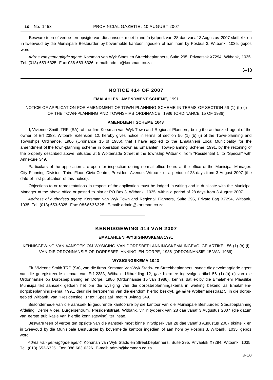Besware teen of vertoe ten opsigte van die aansoek moet binne 'n tydperk van 28 dae vanaf 3 Augustus 2007 skriftelik en in tweevoud by die Munisipale Bestuurder by bovermelde kantoor ingedien of aan hom by Posbus 3, Witbank, 1035, gepos word.

Adres van gemagtigde agent: Korsman van Wyk Stads en Streekbeplanners, Suite 295, Privaatsak X7294, Witbank, 1035. Tel. (013) 653-6325. Fax: 086 663 6326. e-mail: admin@korsman.co.za

 $3 - 10$ 

## **NOTICE 414 OF 2007**

#### **EMALAHLENI AMENDMENT SCHEME,** 1991

NOTICE OF APPLICATION FOR AMENDMENT OF TOWN-PLANNING SCHEME IN TERMS OF SECTION 56 (1) (b) (i) OF THE TOWN-PLANNING AND TOWNSHIPS ORDINANCE, 1986 (ORDINANCE 15 OF 1986)

#### **AMENDMENT SCHEME 1043**

I, Vivienne Smith TRP (SA), of the firm Korsman van Wyk Town and Regional Planners, being the authorized agent of the owner of Erf 2383, Witbank Extension 12, hereby gives notice in terms of section 56 (1) (b) (i) of the Town-planning and Townships Ordinance, 1986 (Ordinance 15 of 1986), that I have applied to the Emalahleni Local Municipality for the amendment of the town-planning scheme in operation known as Emalahleni Town-planning Scheme, 1991, by the rezoning of the property described above, situated at 5 Woltemade Street in the township Witbank, from "Residential 1" to "Special" with Annexure 349.

Particulars of the application are open for inspection during normal office hours at the office of the Municipal Manager:. City Planning Division, Third Floor, Civic Centre, President Avenue, Witbank or a period of 28 days from 3 August 2007 (the date of first publication of this notice).

Objections to or representations in respect of the application must be lodged in writing and in duplicate with the Municipal Manager at the above office or posted to him at PO Box 3, Witbank, 1035, within a period of 28 days from 3 August 2007.

Address of authorised agent: Korsman van Wyk Town and Regional Planners, Suite 295, Private Bag X7294, Witbank, 1035. Tel. (013) 653-6325. Fax: 0866636325. E-mail: admin@korsman.co.za

## **KENNISGEWING 414 VAN 2007**

#### **EMALAHLENI·WYSIGINGSKEMA** 1991

KENNISGEWING VAN AANSOEK OM WYSIGING VAN DORPSBEPLANNINGSKEMA INGEVOLGE ARTIKEL 56 (1) (b) (i) VAN DIE ORDONNANSIE OP DORPSBEPLANNING EN DORPE, 1986 (ORDONNANSIE 15 VAN 1986)

#### **WYSIGINGSKEMA 1043**

Ek, Vivienne Smith TRP (SA), van die firma Korsman Van Wyk Stads- en Streekbeplanners, synde die gevolmagtigde agent van die geregistreerde eienaar van Erf 2383, Witbank Uitbreiding 12, gee hiermee ingevolge artikel 56 (1) (b) (i) van die Ordonnansie op Dorpsbeplanning en Dorpe, 1986 (Ordonnansie 15 van 1986), kennis dat ek by die Emalahleni Plaaslike Munisipaliteit aansoek gedoen het om die wysiging van die dorpsbeplanningskema in werking bekend as Emalahlenidorpsbeplanningskema, t 991, deur die hersonering van die eiendom hierbo beskryf, geleë te Woltemadestraat 5, in die dorpsgebied Witbank, van "Residensieel 1" tot "Spesiaal" met 'n Bylaag 349.

Besonderhede van die aansoek lê gedurende kantoorure by die kantoor van die Munisipale Bestuurder: Stadsbeplanning Afdeling, Derde Vloer, Burgersentrum, Presidentstraat, Witbank, vir 'n tydperk van 28 dae vanaf 3 Augustus 2007 (die datum van eerste publikasie van hierdie kennisgewing) ter insae.

Besware teen of vertoe ten opsigte van die aansoek moet binne 'n tydperk van 28 dae vanaf 3 Augustus 2007 skriftelik en in tweevoud by die Munisipale Bestuurder by bovermelde kantoor ingedien of aan hom by Posbus 3, Witbank, 1035, gepos word.

Adres van gemagtigde agent: Korsman van Wyk Stads en Streekbeplanners, Suite 295, Privaatsk X7294, Witbank, 1035. Tel. (013) 653-6325. Fax: 086 663 6326. E-mail: admin@korsman.co.za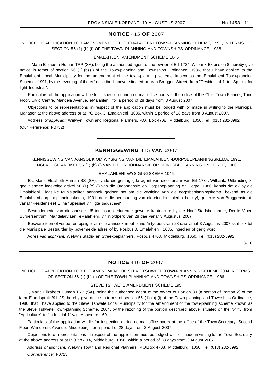## **NOTICE** 415 **OF** 2007

## NOTICE OF APPLICATION FOR AMENDMENT OF THE EMALAHLENI TOWN-PLANNING SCHEME, 1991, IN TERMS OF SECTION 56 (1) (b) (i) OF THE TOWN-PLANNING AND TOWNSHIPS ORDINANCE, 1986

#### EMALAHLENI AMENDMENT SCHEME 1045

I, Maria Elizabeth Human TRP (SA), being the authorised agent of the owner of Erf 1734, Witbank Extension 8, hereby give notice in terms of section 56 (1) (b) (i) of the Town-planning and Townships Ordinance, 1986, that I have applied to the Emalahleni Local Municipality for the amendment of the town-planning scheme known as the Emalahleni Town-planning Scheme, 1991, by the rezoning of the erf described above, situated on Van Bruggen Street, from "Residential 1" to "Special for light Industrial".

Particulars of the application will lie for inspection during normal office hours at the office of the Chief Town Planner, Third Floor, Civic Centre, Mandela Avenue, eMalahleni, for a period of 28 days from 3 August 2007.

Objections to or representations in respect of the application must be lodged with or made in writing to the Municipal Manager at the above address or at PO Box 3, Emalahleni, 1035, within a period of 28 days from 3 August 2007.

Address of applicant: Welwyn Town and Regional Planners, P.O. Box 4708, Middelburg, 1050. Tel: (013) 282-8992. (Our Reference: P0732)

## **KENNISGEWING** 415 **VAN** 2007

**•**

## KENNISGEWING VAN AANSOEK OM WYSIGING VAN DIE EMALAHLENI-DORPSBEPLANNINGSKEMA, 1991, INGEVOLGE ARTIKEL 56 (1) (b) (i) VAN DIE ORDONNANSIE OP DORPSBEPLANNING EN DORPE, 1986

#### EMALAHLENI-WYSIGINGSKEMA 1045

Ek, Maria Elizabeth Human SS (SA), synde die gemagtigde agent van die eienaar van Erf 1734, Witbank, Uitbreiding 8, gee hiermee ingevolge artikel 56 (1) (b) (i) van die Ordonnansie op Dorpsbeplanning en Dorpe, 1986, kennis dat ek by die Emalahleni Plaaslike Munisipaliteit aansoek gedoen net am die wysiging van die dorpsbeplanningskema, bekend as die Emalahleni-dorpsbeplanningskema, 1991, deur die hersonering van die eiendom hierbo beskryf, geleë te Van Bruggenstraat. vanaf "Residensieel 1" na "Spesiaal vir Iigte tndustrieel".

Besonderhede van die aansoek lê ter insae gedurende gewone kantoorure by die Hoof Stadsbeplanner, Derde Vloer, Burgersentrum, Mandelarylaan, eMalahleni, vir 'n tydperk van 28 dae vanaf 3 Augustus 2007.

Besware teen of vertoe ten opsigte van die aansoek moet binne 'n tydperk van 28 dae vanaf 3 Augustus 2007 skriftelik tot die Munisipale Bestuurder by bovermelde adres of by Posbus 3, Emalahleni, 1035, ingedien of gerig word.

Adres van applikant: Welwyn Stads- en Streekbeplanners, Posbus 4708, Middelburg, 1050. Tel: (013) 282-8992.

3-10

#### **NOTICE** 416 **OF** 2007

NOTICE OF APPLICATION FOR THE AMENDMENT OF STEVE TSHWETE TOWN-PLANNING SCHEME 2004 IN TERMS OF SECTION 56 (1) (b) (i) OF THE TOWN-PLANNING AND TOWNSHIPS ORDINANCE, 1986

#### STEVE TSHWETE AMENDMENT SCHEME 195

I, Maria Elizabeth Human TRP (SA), being the authorised agent of the owner of Portion 39 (a portion of Portion 2) of the farm Elandspruit 291 JS, hereby give notice in terms of section 56 (1) (b) (i) of the Town-planning and Townships Ordinance, 1986, that I have applied to the Steve Tshwete Local Municipality for the amendment of the town-planning scheme known as the Steve Tshwete Town-planning Scheme, 2004, by the rezoning of the portion described above, situated on the N4Y3, from "Agriculture" to "Industrial 1" with Annexure 160.

Particulars of the application will lie for inspection during normal office hours at the office of the Town Secretary, Second Floor, Wanderers Avenue, Middelburg. for a period of 28 days from 3 August 2007.

Objections to or representations in respect of the application must be lodged with or made in writing to the Town Secretary at the above address or at POBox 14, Middelburg, 1050, within a period of 28 days from 3 August 2007.

Address of applicant: Welwyn Town and Regional Planners, POBox 4708, Middelburg, 1050. Tel: (013) 282-8992. Our reference: P0725.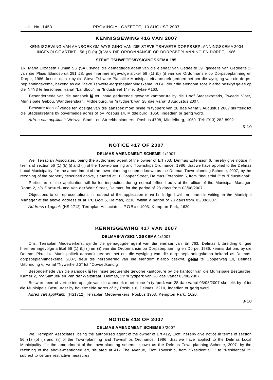## **KENNISGEWING 416 VAN 2007**

KENNISGEWING VAN AANSOEK OM WYSIGING VAN DIE STEVE TSHWETE DORPSBEPLANNINGSKEMA 2004 INGEVOLGE ARTIKEL 56 (1) (b) (i) VAN DIE ORDONNANSIE OP DORPSBEPLANNING EN DORPE, 1986

#### **STEVE TSHWETE·WYSIGINGSKEMA 195**

Ek, Maria Elizabeth Human SS (SA), synde die gemagtigde agent van die eienaar van Gedeelte 39 (gedeelte van Gedeelte 2) van die Plaas Elandspruit 291 JS, gee hiermee ingevolge artikel 56 (1) (b) (i) van die Ordonnansie op Dorpsbeplanning en Dorpe, 1986, kennis dat ek by die Steve Tshwete Plaaslike Munisipaliteit aansoek gedoen het om die wysiging van die dorpsbeplanningskema, bekend as die Steve Tshwete-dorpsbeplanningskema, 2004, deur die eiendom soos hierbo beskryf gelee op die N4Y3 te hersoneer, vanaf "Landbou" na "Industrieel 1" met Bylae A160.

Besonderhede van die aansoek lê ter insae gedurende gewone kantoorure by die Hoof Stadsekretaris, Tweede Vloer, Munisipale Gebou, Wandererslaan, Middelburg, vir 'n tydperk van 28 dae vanaf 3 Augustus 2007.

Besware teen of vertoe ten opsigte van die aansoek moet binne 'n tydperk van 28 dae vanaf 3 Augustus 2007 skriftelik tot die Stadsekretaris by bovermelde adres of by Posbus 14, Middelburg, 1050, ingedien or gerig word.

Adres van applikant: Welwyn Stads- en Streekbeplanners, Posbus 4708, Middelburg, 1050. Tel: (013) 282-8992.

3-10

## **NOTICE 417 OF 2007**

#### **DELMAS AMENDMENT SCHEME** 1/2007

We, Terraplan Associates, being the authorised agent of the owner of Erf 763, Delmas Extension 6, hereby give notice in terms of section 56 (1) (b) (i) and (ii) of the Town-planning and Townships Ordinance, 1986, that we have applied to the Delmas Local Municipality, for the amendment of the town-planning scheme known as the Delmas Town-planriing Scheme, 2007, by the rezoning of the property described above, situated at 10 Copper Street, Delmas Extension 6, from "Industrial 2" to "Educational".

Particulars of the application will lie for inspection during normal office hours at the office of the Municipal Manager, Room 2, c/o Samuel- and Van der Walt Street, Delmas, for the period of 28 days from 03/08/2007.

Objections to or representations in respect of the application must be lodged with or made in writing to the Municipal Manager at the above address or at POBox 6, Delmas, 2210, within a period of 28 days from 03/08/2007.

Address of agent: (HS 1712) Terraplan Associates, POBox 1903, Kempton Park, 1620.

#### **KENNISGEWING 417 VAN 2007**

#### **DELMAS·WYSIGINGSKEMA** 1/2007

Ons, Terraplan Medewerkers, synde die gemagtigde agent van die eienaar van Erf 763, Delmas Uitbreiding 6, gee hiermee ingevolge artikel 56 (1) (b) (i) en (ii) van die Ordonnansie op Dorpsbeplanning en Dorpe, 1986, kennis dat ons by die Delmas Piaaslike Munisipaliteit aansoek gedoen het om die wysiging van die dorpsbeplanningskema bekend as Deimasdorpsbeplanningskema, 2007, deur die hersonering van die eiendom hierbo beskryf, geleë te Copperweg 10, Delmas Uitbreiding 6, vanaf "Nywerheid 2" tot "Opvoedkundig".

Besonderhede van die aansoek lê ter insae gedurende gewone kantoorure by die kantoor van die Munisipaie Bestuurder, Kamer 2, h/v Samuel- en Van der Waltstraat, Delmas, vir 'n tydperk van 28 dae vanaf 03/08/2007.

Besware teen of vertoe ten opsigte van die aansoek moet binne 'n tydperk van 28 dae vanaf 03/08/2007 skriftelik by of tot die Munisipale Bestuurder by bovermelde adres of by Posbus 6, Delmas, 2210, ingedien or gerig word.

Adres van applikant: (HS1712) Terraplan Medewerkers, Posbus 1903, Kempton Park, 1620.

3-10

#### **NOTICE 418 OF 2007**

#### **DELMAS AMENDMENT SCHEME** 3/2007

We, Terraplan Associates, being the authorised agent of the owner of Erf 412, Elott, hereby give notice in terms of section 56 (1) (b) (i) and (ii) of the Town-planning and Townships Ordinance, 1986, that we have applied to the Delmas Local Municipality, for the amendment of the town-planning scheme known as the Delmas Town-planning Scheme, 2007, by the rezoning of the above-mentioned err, situated at 412 The Avenue, Eloff Township, from "Residential 1" to "Residential 2", subject to certain restrictive measures.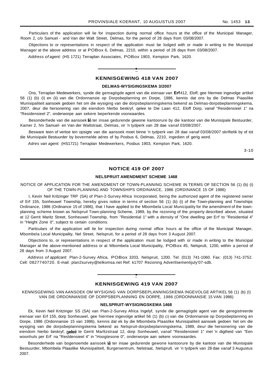Particulars of the application will lie for inspection during normal office hours at the office of the Municipal Manager, Room 2, c/o Samuel - and Van der Walt Street, Delmas, for the period of 28 days from 03/08/2007.

Objections to or representations in respect of the application must be lodged with or made in writing to the Municipal Manager at the above address or at POBox 6, Delmas, 2210, within a period of 28 days from 03/08/2007.

Address of agent: (HS 1721) Terraplan Associates, POBox 1903, Kempton Park, 1620.

## **KENNISGEWING 418 VAN 2007**

**•**

#### **DELMAS-WYSIGINGSKEMA 3/2007**

Ons, Terraplan Medewerkers, synde die gemagtigde agent van die eienaar van **Erf**412, Eloff, gee hlermee ingevolge artikel 56 (1) (b) (I) en (ii) van die Ordonnansie op Dorpsbeplanning en Dorpe, 1986, kennis dat ons by die Delmas Piaaslike Munisipaliteit aansoek gedoen het om die wysiging van die dorpsbeplanningskema bekend as Delmas-dorpsbeplanningskema, 2007, deur die hersonering van die eiendom hlerbo beskryf, qelee te Die Laan 412, Eloff Dorp, vanaf "Residensieel 1" na "Residensieel 2", onderworpe aan sekere beperkende voorwaardes.

Besonderhede van die aansoek lê ter insae gedurende gewone kantoorure by die kantoor van die Munisipale Bestuurder, Kamer 2, h/v Samuel- en Van der Waltstraat, Delmas, vir 'n tydperk van 28 dae vanaf 03/08/2007.

Besware teen of vertoe ten opsigte van die aansoek moet binne 'n tydperk van 28 dae vanaf 03/08/2007 skriftelik by of tot die Munisipale Bestuurder by bovermelde adres of by Posbus 6, Delmas, 2210, ingedien of gerig word.

Adres van agent: (HS1721) Terraplan Medewerkers, Posbus 1903, Kempton Park, 1620.

3-10

#### **NOTICE 419 OF 2007**

#### **NELSPRUIT AMENDMENT SCHEME 1468**

NOTICE OF APPLICATION FOR THE AMENDMENT OF TOWN-PLANNING SCHEME IN TERMS OF SECTION 56 (1) (b) (i) OF THE TOWN-PLANNING AND TOWNSHIPS ORDINANCE, 1986 (ORDINANCE 15 OF 1986)

I, Kevin Neil Kritzinger TRP (SA) of Plan-2-Survey Africa Incorporated, being the authorized agent of the registered owner of Erf 155, Sonheuwel Township, hereby gives notice in terms of section 56 (1) (b) (i) of the Town-planning and Townships Ordinance, 1986 (Ordinance 15 of 1986), that I have applied to the Mbombela Local Municipality for the amendment of the townplanning scheme known as Nelspruil Town-planning Scheme, 1989, by the rezoning of the property described above, situated at 12 Gerrit Maritz Street, Sonheuwel Township, from "Residential 1" with a density of "One dwelling per Erf' to "Residential 4" in "Height Zone 0", subject to certain conditions.

Particulars of the application will lie for inspection during normal office hours at the office of the Municipal Manager, Mbombela Local Municipality, Nel Street, Nelspruit, for a period of 28 days from 3 August 2007.

Objections to, or representations in respect of the application must be lodged with or made in writing to the Municipal Manager at the above-mentioned address or at Mbombela Local Municipality, POBox 45, Nelsprult, 1200, within a period of 28 days from 3 August 2007.

Address of applicant: Plan-2-Survey Africa, POBox 3203, Nelspruit, 1200. Tel: (013) 741-1060. Fax: (013) 741-3752. Cell: 0827740720. E-mail: plan2survey@telkomsa.net Ref: k1707 Rezoning Advertlsementijuly'07-sdb.

#### **KENNISGEWING 419 VAN 2007**

**•**

KENNISGEWING VAN AANSOEK OM WYSIGING VAN DORPSBEPLANNINGSKEMA INGEVOLGE ARTIKEL 56 (1) (b) (I) VAN DIE ORDONNANSIE OP DORPSBEPLANNING EN DORPE, 1986 (ORDONNANSIE 15 VAN 1986)

#### **NELSPRUIT-WYSIGINGSKEMA 1468**

Ek, Kevin Neil Kritzinger SS (SA) van Plan-2-Survey Africa Ingelyf, synde die gemagtigde agent van die geregistreerde eienaar van Erf 155, dorp Sonheuwel, gee hiermee ingevolge artikel 56 (1) (b) (i) van die Ordonnansie op Dorpsbeplanning en Dorpe, 1986 (Ordonnansie 15 van 1986), kennis dat ek by die Mbombela Plaaslike Munisipaliteit aansoek gedoen het om die wysiging van die dorpsbeplanningskema bekend as Nelspruit-dorpsbeplanningskema, 1989, deur die hersonering van die eiendom hierbo beskryf, geleë te Gerrit Marltzstraat 12, dorp Sonheuwel, vanaf "Residensieel 1" met 'n digtheid van "Een woonhuls per Erf' na "Resldensieel 4" in "Hoogtesone 0", onderworpe aan sekere voorwaardes.

Besonderhede van bogenoemde aansoek lê ter insae gedurende gewone kantoorure by die kantoor van die Munisipale Bestuurder, Mbombela Plaaslike Munisipalitelt, Burgersentrum, Nelstraat, Nelsprult. vir 'n tydperk van 28 dae vanaf 3 Augustus 2007.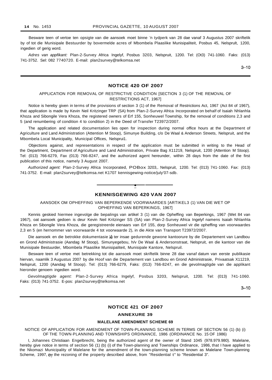Besware teen of vertoe ten opsigte van die aansoek moet binne 'n tydperk van 28 dae vanaf 3 Augustus 2007 skriftelik by of tot die Munisipale Bestuurder by bovermelde acres of Mbombela Plaaslike Munisipaliteit, Posbus 45, Nelsprult, 1200, ingedien of gerig word.

Adres van appfikant: Plan-2-Survey Africa Ingelyf, Posbus 3203, Nelspruit, 1200. Tel: (Ot3) 741-1060. Faks: (013) 741-3752. Sel: 082 7740720. E-mail: plan2survey@telkomsa.net

3-10

## **NOTICE 420 OF 2007**

## APPLICATION FOR REMOVAL OF RESTRICTIVE CONDITION [SECTION 3 (1) OF THE REMOVAL OF RESTRICTIONS ACT, 1967]

Notice is hereby given in terms of the provisions of section 3 (1) of the Removal of Restrictions Act, 1967 (Act 84 of 1967), that application is made by Kevin Neil Kritzinger TRP (SA) from Plan-2-Survey Africa Incorporated on behalf of Isaiah Nhlanhla Khoza and Sibongile Vera Khoza, the registered owners of Erf 155, Sonheuwel Township, for the removal of conditions 2,3 and 5 (and renumbering of condition 4 to condition 2) in the Deed of Transfer T23972/2007.

The application and related documentation lies open for inspection during normal office hours at the Department of Agriculture and Land Administration (Attention M Stoop), Simunye Building, c/o De Waal & Anderson Streets, Nelspruit, and the Mbombela Local Municipality, Municipal Offices, Nelsprui1.

Objections against, and representations in respect of the application must be submitted in writing to the Head of the Department, Department of Agriculture and Land Administration, Private Bag X11219, Nelspruit, 1200 (Attention M Stoop). Tel: (013) 766-6279, Fax (013) 766-8247, and the authorized agent hereunder, within 28 days from the date of the first publication of this notice, namely 3 August 2007.

Authorized agent: Plan-2-Survey Africa Incorporated, POBox 3203,. Nelspruit, 1200. Tel: (013) 741-1060. Fax: (013) 741-3752. E-mail: plan2survey@telkomsa.net K1707 kennisgewing-notice/july'07-sdb.



## **KENNISGEWING 420 VAN 2007**

AANSOEK OM OPHEFFING VAN BEPERKENDE VOORWAARDES [ARTIKEL3 (1) VAN DIE WET OP OPHEFFING VAN BEPERKINGS, 1967]

Kennis geskied hiermee ingevolge die bepalings van artikel 3 (1) van die Opheffing van Beperkings, 1967 (Wet 84 van 1967), oat aansoek gedoen is deur Kevin Neil Kritzinger SS (SA) van Plan-2-Survey Africa Ingelyf namens Isaiah Nhlanhla Khoza en Sibongile Vera Khoza, die geregistreerde eienaars van Erf 155, dorp Sonheuwel vir die opheffing van voorwaardes 2,3 en 5 (en hernommer van voorwaarde 4 tot voorwaarde 2), in die Akte van Transport T23972/2007.

Die aansoek en die betrokke dokumentasie lê ter insae gedurende gewone kantoorure by die Departement van Landbou en Grond Administrasie (Aandag M Stoop), Simunyegebou, h/v De Waal & Andersonstraat, Nelspruit, en die kantoor van die Munisipale Bestuurder, Mbombela Plaaslike Munisipaliteit, Munisipale Kantore, Nelspruil.

Besware teen of vertoe met betrekking tot die aansoek moet skriftelik binne 28 dae vanaf datum van eerste publikasie hiervan, naamlik 3 Augustus 2007 by die Hoof van die Departement van Landbou en Grond Administrasie, Privaatsak X11219, Nelspruit, 1200 (Aandag M Stoop). Tel: (013) 766-6279, Faks: (013) 766-8247, en die gevolmagtigde van die applikant hieronder genoem ingedien word.

Gevolmagtigde agent: Plan-2-Survey Africa Ingelyf, Posbus 3203, Nelspruit, 1200. Tel: (013) 741-1060. Faks: (013) 741-3752. E-pos: plan2survey@telkomsa.net

 $3 - 10$ 

#### **NOTICE 421 OF 2007**

#### **ANNEXURE 39**

## **MALELANE AMENDMENT SCHEME 69**

NOTICE OF APPLICATION FOR AMENDMENT OF TOWN-PLANNING SCHEME IN TERMS OF SECTION 56 (1) (b) (i) OF THE TOWN·PLANNING AND TOWNSHIPS ORDINANCE, 1986 (ORDINANCE No. 15 OF 1986)

I, Johannes Christiaan Engelbrecht, being the authorized agent of the owner of Stand 1045 (978.979.980). Malelane, hereby give notice in terms of section 56 (1) (b) (i) of the Town-planning and Townships Ordinance, 1986, that I have applied to the Nkomazi Municipality of Malelane for the amendment of the town-planning scheme known as Malelane Town-planning Scheme, 1997, by the rezoning of the property described above, from "Residential t" to "Residential 3".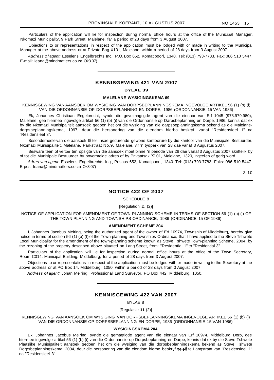Particulars of the application will lie for inspection during normal office hours at the office of the Municipal Manager, Nkomazi Municipality, 9 Park Street, Malelane, far a period of 28 days from 3 August 2007.

Objections to or representations in respect of the application must be lodged with or made in writing to the Municipal Manager at the above address or at Private Bag X101, Malelane, within a period of 28 days from 3 August 2007.

Address of agent: Esselens Engelbrechts Inc., P.O. Box 652, Komatipoorl, 1340. Tel: (013) 793-7783. Fax: 086 510 5447. E-mail: leana@mindmatlers.co.za Ok3.07)

## **KENNISGEWING 421 VAN 2007**

#### **BYLAE 39**

#### **MALELANE-WYSIGINGSKEMA 69**

KENNISGEWING VAN AANSOEK OM WYSIGING VAN DORPSBEPLANNINGSKEMA INGEVOLGE ARTIKEL 56 (1) (b) (i) VAN DIE ORDONNANSIE OP DORPSBEPLANNING EN DORPE, 1986 (ORDONNANSIE 15 VAN 1986)

Ek, Johannes Christiaan Engelbrecht, synde die gevolmagtigde agent van die eienaar van Erf 1045 (978.979.980), Malelane, gee hiermee ingevolge artikel 56 (1) (b) (i) van die Ordonnansie op Darpsbeplanning en Dorpe, 1986, kennis dat ek by die Nkomazi Munisipaliteit aansoek gedoen het om die wysiging van die darpsbeplanningskema bekend as die Malelanedorpsbeplanningskema, 1997, deur die hersonering van die eiendom hierbo beskryf, vanaf "Residensieel 1" na "Residensieel 3".

Besonderheele van die aansoek lê ter insae gedurende gewone kantoorure by die kantoor van die Munisipale Bestuurder, Nkomazi Munisipaliteit, Malelane, Parkstraat No.9, Malelane, vir 'n tydperk van 28 dae vanaf 3 Augustus 2007.

Besware teen of vertoe ten opsigte van die aansoek moet binne 'n periode van 28 dae vanaf 3 Augustus 2007 skriftelik by of tot die Munisipale Bestuurder by bovermelde adres of by Privaatsak Xl 01, Malelane, 1320, ingeelien of gerig word.

Adres van agent: Esselens Engelbrechts Ing., Posbus 652, Komatipoort, 1340. Tel: (013) 793-7783. Faks: 086 510 5447. E-pos: leana@mindmatlers.co.za Ok3.07)

3-10

#### **NOTICE 422 OF 2007**

#### SCHEDULE 8

#### [Regulation 11 (2)]

NOTICE OF APPLICATION FOR AMENDMENT OF TOWN-PLANNING SCHEME IN TERMS OF SECTION 56 (1) (b) (i) OF THE TOWN·PLANNING AND TOWNSHIPS ORDINANCE, 1986 (ORDINANCE 15 OF 1986)

#### **AMENDMENT SCHEME 204**

I, Johannes Jacobus Meiring, being the authorized agent of the owner of Erf 10974, Township of Middelburg, hereby give notice in terms of section 56 (1) (b) (i) of the Town-planning and Townships Ordinance, that I have applied to the Steve Tshwete Local Municipality for the amendment of the town-planning scheme known as Steve Tshwete Town-planning Scheme, 2004, by the rezoning of the property described above situated on Lang Street, from: "Residential 1" to "Residential 3".

Particulars of the application will lie for inspection during normal office hours at the office of the Town Secretary, Room C314, Municipal Building, Middelburg, for a period of 28 days from 3 August 2007.

Objections to or representations in respect of the application must be lodged with or made in writing to the Secretary at the above address or at PO Box 14, Middelburg, 1050. within a period of 28 days from 3 August 2007.

Address of agent: Johan Meiring, Professional Land Surveyor, PO Box 442, Middelburg, 1050.

#### **KENNISGEWING 422 VAN 2007**

BYLAE 8

[Regulasie **11** (2)]

KENNISGEWING VAN AANSOEK OM WYSIGING VAN DORPSBEPLANNINGSKEMA INGEVOLGE ARTIKEL 56 (1) (b) (i) VAN DIE ORDONNANSIE OP DORPSBEPLANNING EN DORPE, 1986 (ORDONNANSIE 15 VAN 1986)

#### **WYSIGINGSKEMA 204**

Ek, Johannes Jacobus Meiring, synde die gemagtigde agent van die eienaar van Erf 10974, Middelburg Dorp, gee hiermee ingevolge artikel 56 (1) (b) (i) van die Ordonnansie op Dorpsbeplanning en Darpe, kennis dat ek by die Steve Tshwete Plaaslike Munisipaliteit aansoek gedoen het om die wysiging van die dorpsbeplanningskema bekend as Steve Tshwete Dorpsbeplanningskema, 2004, deur die hersonering van die eiendom hierbo beskryf geleë te Langstraat van "Residensieel 1" na "Residensieel 3".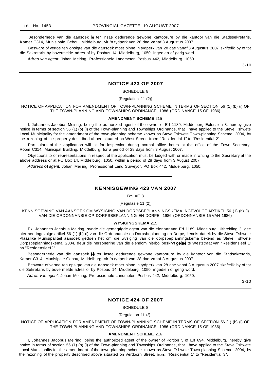Besonderhede van die aansoek lê ter insae gedurende gewone kantoorure by die kantoor van die Stadssekretaris, Kamer C314, Munisipale Gebou, Middelburg, vir 'n tydperk van 28 dae vanaf 3 Augustus 2007.

Besware of vertoe ten opsigte van die aansoek moet binne 'n tydperk van 28 dae vanaf 3 Augustus 2007 skriftelik by of tot die Sekretaris by bovermelde adres of by Posbus 14, Middelburg, 1050, ingedien of gerig word.

Adres van agent: Johan Meiring, Professionele Landmeter, Posbus 442, Middelburg, 1050.

3-10

#### **NOTICE 423 OF 2007**

## SCHEDULE 8

[Regulation 11 (2)]

NOTICE OF APPLICATION FOR AMENDMENT OF TOWN-PLANNING SCHEME IN TERMS OF SECTION 56 (1) (b) (i) OF THE TOWN-PLANNING AND TOWNSHIPS ORDINANCE, 1986 (ORDINANCE 15 OF 1986)

#### **AMENDMENT SCHEME** 215

I, Johannes Jacobus Meiring, being the authorized agent of the owner of Erf 1189, Middelburg Extension 3, hereby give notice in terms of section 56 (1) (b) (i) of the Town-planning and Townships Ordinance, that I have applied to the Steve Tshwete Local Municipality for the amendment of the town-planning scheme known as Steve Tshwete Town-planning Scheme, 2004, by the rezoning of the property described above situated on West Street, from: "Residential 1" to "Residential 2".

Particulars of the application will lie for inspection during normal office hours at the office of the Town Secretary, Room C314, Municipal Building, Middelburg, for a period of 28 days from 3 August 2007.

Objections to or representations in respect of the application must be lodged with or made in writing to the Secretary at the above address or at PO Box 14, Middelburg, 1050, within a period of 28 days from 3 August 2007.

Address of agent: Johan Meiring, Professional Land Surveyor, PO Box 442, Middelburg, 1050.

## **KENNISGEWING 423 VAN 2007**

**-**

BYLAE 8

[Regulasie 11 (2)]

KENNISGEWING VAN AANSOEK OM WYSIGING VAN DORPSBEPLANNINGSKEMA INGEVOLGE ARTIKEL 56 (1) (b) (i) VAN DIE ORDONNANSIE OP DORPSBEPLANNING EN DORPE, 1986 (ORDONNANSIE 15 VAN 1986)

#### **WYSIGINGSKEMA** 215

Ek, Johannes Jacobus Meiring, synde die gemagtigde agent van die eienaar van Erf 1189, Middelburg Uitbreiding 3, gee hiermee ingevolge artikel 56 (1) (b) (i) van die Ordonnansie op Dorpsbeplanning en Dorpe, kennis dat ek by die Steve Tshwete Plaaslike Munisipaliteil aansoek gedoen het om die wysiging van die dorpsbeplanningskema bekend as Steve Tshwete Dorpsbeplanningskema, 2004, deur die hersonering van die eiendom hierbo beskryf geleë te Weststraat van "Residensieel 1" na "ResidensieeI2".

Besonderhede van die aansoek lê ter insae gedurende gewone kantoorure by die kantoor van die Stadsekretaris, Kamer C314, Munisipale Gebou, Middelburg, vir 'n tydperk van 28 dae vanaf 3 Augustus 2007.

Besware of vertoe ten opsigte van die aansoek moet binne 'n tydperk van 28 dae vanaf 3 Augustus 2007 skriftelik by of tot die Sekretaris by bovermelde adres of by Posbus 14, Middelburg, 1050, ingedien of gerig word.

Adres van agent: Johan Meiring, Professionele Landmeter, Posbus 442, Middelburg, 1050.

3-10

#### **NOTICE 424 OF 2007**

SCHEDULE 8

[Regulation 11 (2)1

NOTICE OF APPLICATION FOR AMENDMENT OF TOWN-PLANNING SCHEME IN TERMS OF SECTION 56 (1) (b) (i) OF THE TOWN-PLANNING AND TOWNSHIPS ORDINANCE, 1986 (ORDINANCE 15 OF 1986)

#### **AMENDMENT SCHEME** 216

I, Johannes Jacobus Meiring, being the authorized agent of the owner of Portion 5 of Erf 694, Middelburg, hereby give notice in terms of section 56 (1) (b) (i) of the Town-planning and Townships Ordinance, that I have applied to the Steve Tshwete Local Municipality for the amendment of the town-planning scheme known as Steve Tshwete Town-planning Scheme, 2004, by the rezoning of the propertv described above situated on Verdoorn Street, from: "Residential 1" to "Residential 3".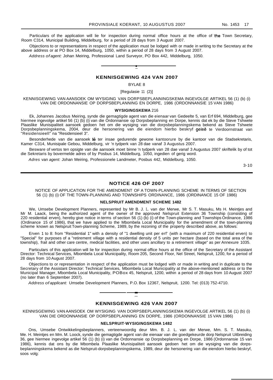Particulars of the application will lie for inspection during normal office hours at the office of the Town Secretary, Room C314, Municipal Building, Middelburg, for a period of 28 days from 3 August 2007.

Objections to or representations in respect of the application must be lodged with or made in writing to the Secretary at the above address or at PO Box 14, Middelburg, 1050, within a period of 28 days from 3 August 2007.

Address of agent: Johan Meiring, Professional Land Surveyor, PO Box 442, Middelburg, 1050.

#### **KENNISGEWING 424 VAN 2007**

**•**

#### BYLAE 8

[Regulasie 11 (2)]

KENNISGEWING VAN AANSOEK OM WYSIGING VAN DORPSBEPLANNINGSKEMA INGEVOLGE ARTIKEL 56 (1) (b) (i) VAN DIE ORDONNANSIE OP DORPSBEPLANNING EN DORPE, 1986 (ORDONNANSIE 15 VAN 1986)

#### **WYSIGINGSKEMA** 216

Ek, Johannes Jacobus Meiring, synde die gemagtigde agent van die eienaar van Gedeelte 5, van Erf 694, Middelburg, gee hiermee ingevolge artikel 56 (1) (b) (i) van die Ordonnansie op Dorpsbeplanning en Dorpe, kennis dat ek by die Steve Tshwete Plaaslike Munisipaliteit aansoek gedoen het om die wysiging van die dorpsbeplanningskema bekend as Steve Tshwete Dorpsbeplanningskema, 2004, deur die hersonering van die eiendom hierbo beskryf geleë te Verdoornstraat van "Residensieell" na "Residensieel 3".

Besonderhede van die aansoek lê ter insae gedurende gewone kantoorure by die kantoor van die Stadsekretaris, Kamer C314, Munisipale Gebou, Middelburg, vir 'n tydperk van 28 dae vanaf 3 Augustus 2007.

Besware of vertos ten opsigte van die aansoek moet binne 'n tydperk van 28 dae vanaf 3 Augustus 2007 skriftelik by of tot die Sekretaris by bovermelde adres of by Posbus 14, Middelburg, 1050, ingedien of gerig word.

Adres van agent: Johan Meiring, Professionele Landmeter, Posbus 442, Middelburg, 1050.

3-10

#### **NOTICE 426 OF 2007**

NOTICE OF APPLICATION FOR THE AMENDMENT OF A TOWN-PLANNING SCHEME IN TERMS OF SECTION 56 (1) (b) (i) OF THE TOWN-PLANNING AND TOWNSHIPS ORDINANCE, 1986 (ORDINANCE 15 OF 1986)

#### **NELSPRUIT AMENDMENT SCHEME 1482**

We, Umsebe Development Planners, represented by Mr B. J. L. van der Merwe, Mr S. T. Masuku, Ms H. Meintjes and Mr M. Laack, being the authorized agent of the owner of the approved Nelspruit Extension 36 Township (consisting of 220 residential erven), hereby give notice in terms of section 56 (1) (b) (i) of the Town-planning and Townships Ordinance, 1986 (Ordinance 15 of 1986), that we have applied to the Mbombela Local Municipality for the amendment of the town-planning scheme known as Nelspruit Town-planning Scheme, 1989, by the rezoning of the property described above, as follows:

Erven 1 to 8: from "Residential 1" with a density of "1 dwelling unit per erf' (with a maximum of 220 residential erven) to "Special" for purposes of a "retirement village with a residential density of 5 units per hectare (based on the total area of the township), frail and other care centre, medical facilities, and other uses ancillary to a retirement village" as per Annexure 1035.

Particulars of this application will lie for inspection during normal office hours at the office of the Secretary of the Assistant Director: Technical Services, Mbombela Local Municipality, Room 205, Second Floor, Nel Street, Nelspruit, 1200, for a period of 28 days from 10 August 2007.

Objections to or representation in respect of the application must be lodged with or made in writing and in duplicate to the Secretary of the Assistant Director: Technical Services, Mbombela Local Municipality at the above-mentioned address or to the Municipal Manager, Mbombela Local Municipality, POBox 45, Nelspruit, 1200, within a period of 28 days from 10 August 2007 (no later than 6 September 2007).

Address of applicant: Umsebe Development Planners, P.O. Box 12367, Nelspruit, 1200. Tel: (013) 752-4710.

#### **KENNISGEWING 426 VAN 2007**

**-**

KENNISGEWING VAN AANSOEK OM WYSIGING VAN DORPSBEPLANNINGSKEMA INGEVOLGE ARTIKEL 56 (1) (b) (i) VAN DIE ORDONNANSIE OP DORPSBEPLANNING EN DORPE, 1986 (ORDONNANSIE 15 VAN 1986)

#### **NELSPRUIT·WYSIGINGSKEMA 1482**

Ons, Umsebe Ontwikkelingsbeplanners, verteenwoordig deur Mm. B. J. L. van der Merwe, Mm. S. T. Masuku, Me. H. Meintjes en Mm. M. Loock, synde die gemagtigde agent van die eienaar van die goedgekeurde dorp Nelspruit Uitbreiding 36, gee hiermee ingevolge artikel 56 (1) (b) (i) van die Ordonnansie op Dorpsbeplanning en Dorpe, 1986 (Ordonnansie 15 van 1986), kennis dat ons by die Mbombela Plaaslike Munisipaliteit aansoek gedoen het om die wysiging van die dorpsbeplanningskema bekend as die Nelspruit-dorpsbeplanningskema, 1989, deur die hersonering van die eiendom hierbo beskryf, soos volg: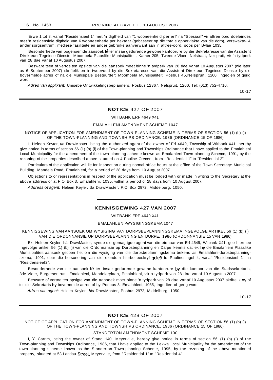Erwe 1 tot 8: vanaf "Residensieel 1" met 'n digtheid van "1 wooneenheid per erf' na "Spesiaal" vir aftree oord doeleindes met 'n residensiele digtheid van 6 wooneenhede per hektaar (gebasseer op die totale oppervlakte van die dorp), verswakte- & ander sorgsentrum, mediese fasiliteite en ander gebruike aanverwant aan 'n aftree-oord, soos per Bylae 1035.

Besonderhede van bogenoemde aansoek lê ter insae gedurende gewone kantoorure by die Sekretaresse van die Assistent Direkteur: Tegniese Dienste, Mbombela Plaaslike Munisipaliteit, Kamer 205, Tweede Vloer, Nelstraat, Nelspruit, vir 'n tydperk van 28 dae vanaf 10 Augustus 2007.

Besware teen of vertoe ten opsigte van die aansoek moet binne 'n tydperk van 28 dae vanaf 10 Augustus 2007 (nie later as 6 September 2007) skriftelik en in tweevoud by die Sekretaresse van die Assistent Direkteur: Tegniese Dienste by die bovermelde adres of na die Munisipale Bestuurder: Mbombela Munisipaliteit, Posbus 45,Nelspruit, 1200, ingedien of gerig word.

Adres van applikant: Umsebe Ontwikkelingsbeplanners, Posbus 12367, Nelspruit, 1200. Tel: (013) 752-4710.

10-17

## **NOTICE** 427 OF 2007

WITBANK ERF 4649 X41

#### EMALAHLENI AMENDMENT SCHEME 1047

NOTICE OF APPLICATION FOR AMENDMENT OF TOWN-PLANNING SCHEME IN TERMS OF SECTION 56 (1) (b) (i) OF THE TOWN-PLANNING AND TOWNSHIPS ORDINANCE, 1986 (ORDINANCE 15 OF 1986)

I, Heleen Keyter, t/a DrawMaster, being the authorized agent of the owner of Erf 4649, Township of Witbank X41, hereby give notice in terms of section 56 (1) (b) (i) of the Town-planning and Townships Ordinance that I have applied to the Emalahleni Local Municipality for the amendment of the town-planning scheme known as Emalahleni Town-planning Scheme, 1991, by the rezoning of the properties described above situated on 4 Pauline Crecent, from "Residential 1" to "Residential 2".

Particulars of the application will lie for inspection during normal office hours at the office of the Town Secretary: Municipal Building, Mandela Road, Emalahleni, for a period of 28 days from 10 August 2007.

Objections to or representations in respect of the application must be lodged with or made in writing to the Secretary at the above address or at P.O. Box 3, Emalahleni, 1035, within a period of 28 days from 10 August 2007.

Address of agent: Heleen Keyler, tla DrawMaster, P.O. Box 2972, Middelburg, 1050.

## **KENNISGEWING** 427 **VAN** 2007

WITBANK ERF 4649 X41

#### EMALAHLENI·WYSIGINGSKEMA 1047

KENNISGEWING VAN AANSOEK OM WYSIGING VAN DORPSBEPLANNINGSKEMA INGEVOLGE ARTIKEL 56 (1) (b) (i) VAN DIE ORDONNANSIE OP DORPSBEPLANNING EN DORPE, 1986 (ORDONNANSIE 15 VAN 1986)

Ek, Heleen Keyler, h/a DrawMaster, synde die gemagtigde agent van die eienaar van Erf 4649, Witbank X41, gee hiermee ingevolge artikel 56 (1) (b) (i) van die Ordonnansie op Dorpsbeplanning en Darpe kennis dat ek by die Emalahleni Plaaslike Munisipaliteit aansoek gedoen het om die wysiging van die dorpsbeplanningskema bekend as Emalahleni-dorpsbeplanningskerna, 1991, deur die hersonering van die eiendom hierbo beskryf geleë te Paulinesingel 4, vanaf "Residensieel 1" na "ResidensieeI2".

Besonderhede van die aansoek lê ter insae gedurende gewone kantoorure by die kantoor van die Stadssekretaris, 3de Vloer, Burgersentrum, Emalahleni, Mandelarylaan, Emalahleni, vir'n tydperk van 28 dae vanaf 10 Augustus 2007.

Besware of vertoe ten opsigte van die aansoek moet binne 'n tydperk van 28 dae vanaf 10 Augustus 2007 skriftelik by of tot die Sekretaris by bovermelde adres of by Posbus 3, Emalahleni, 1035, ingedien of gerig word.

Adres van agent: Heleen Keyler, hla DrawMaster, Posbus 2972, Middelburg, 1050.

10-17

## **NOTICE** 428 OF 2007

NOTICE OF APPLICATION FOR AMENDMENT OF TOWN-PLANNING SCHEME IN TERMS OF SECTION 56 (1) (b) (i) OF THE TOWN-PLANNING AND TOWNSHIPS ORDINANCE, 1986 (ORDINANCE 15 OF 1986)

#### STANDERTON AMENDMENT SCHEME 100

I, Y. Carrim, being the owner of Stand 140, Meyerville, hereby give notice in terms of section 56 (1) (b) (I) of the Town-planning and Townships Ordinance, 1986, that I have applied to the Lekwa Local Municipality for the amendment of the town-planning scheme known as the Standerton Town-planning Scheme, 1995, by the rezoning of the above-mentioned property, situated at 53 Landau Street, Meyervilie, from "Residential 1" to "Residential 4".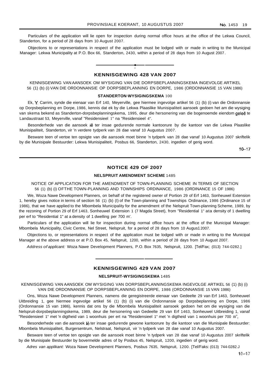Particulars of the application will lie open for inspection during normal office hours at the office of the Lekwa Council, Standerton, for a period of 28 days from 10 August 2007.

Objections to or representations in respect of the application must be lodged with or made in writing to the Municipal Manager: Lekwa Municipality at P.O. Box 66, Standerton, 2430, within a period of 28 days from 10 August 2007 .



**KENNISGEWING 428 VAN 2007**

KENNISGEWING VAN AANSOEK OM WYSIGING VAN DIE DORPSBEPLANNINGSKEMA INGEVOLGE ARTIKEL 56 (1) (b) (i) VAN DIE ORDONNANSIE OP DORPSBEPLANNING EN DORPE, 1986 (ORDONNANSIE 15 VAN 1986)

#### **STANDERTON·WYSIGINGSKEMA** 100

Ek, Y Carrim, synde die eienaar van Erf 140, Meyerville, gee hiermee ingevolge artikel 56 (1) (b) (i) van die Ordonnansie op Dorpsbeplanning en Dorpe, 1986, kennis dat ek by die Lekwa Plaaslike Munisipaliteit aansoek gedoen het am die wysiging van skema bekend as Standerton-dorpsbeplanningskema, 1995, deur die hersonering van die bogenoemde eiendom geleë te Landaustraat 53, Meyerville, vanaf "Residensieel 1" na "Residensieel 4".

Besonderhede van die aansoek Iê ter insae gedurende normale kantoorure by die kantoor van die Lekwa Plaaslike Munisipaliteit, Standerton, vir 'n verdere tydperk van 28 dae vanaf 10 Augustus 2007.

Besware teen of vertoe ten opsigte van die aansoek moet binne 'n tydperk van 28 dae vanaf 10 Augustus 2007 skriftelik by die Munisipale Bestuurder: Lekwa Munisipaliteit, Posbus 66, Standerton, 2430, ingedien of gerig word.

 $10 - 17$ 

## **NOTICE 429 OF 2007**

#### **NELSPRUIT AMENDMENT SCHEME** 1485

NOTICE OF APPLICATION FOR THE AMENDMENT OF TOWN-PLANNING SCHEME IN TERMS OF SECTION 56 (1) (b) (i) OFTHE TOWN-PLANNING AND TOWNSHIPS ORDINANCE, 1986 (ORDINANCE 15 OF 1986)

We, Woza Nawe Development Planners, on behalf of the registered owner of Portion 29 of Erf 1463, Sonheuwel Extension 1, hereby gives notice in terms of section 56 (1) (b) (I) of the Town-planning and Townships Ordinance, 1986 (Ordinance 15 of 1986), that we have applied to the Mbombela Municipality for the amendment of the Nelspruit Town-planning Scheme, 1989, by the rezoning of Portion 29 of Erf 1463, Sonheuwel Extension 1 (7 Magda Street), from "Residential 1" ata density of 1 dwelling per erf to "Residential 1" at a density of 1 dwelling per 700 m'.

Particulars of the application will lie for inspection during normal office hours at the office of the Municipal Manager: Mbombela Municipality, Civic Centre, Nel Street, Nelspruit, for a period of 28 days from 10 Augus12007.

Objections to, or representations in respect of the application must be lodged with or made in writing to the Municipal Manager at the above address or at P.O. Box 45, Nelspruit, 1200, within a period of 28 days from 10 August 2007.

Address of applicant: Woza Nawe Development Planners, P.O. Box 7635, Nelspruit, 1200. [Tel/Fax; (013) 744-0282.]

## **KENNISGEWING 429 VAN 2007**

#### **NELSPRUIT-WYSIGINGSKEMA** 1485

KENNISGEWING VAN AANSOEK OM WYSIGING VAN DORPSBEPLANNINGSKEMA INGEVOLGE ARTIKEL 56 (1) (b) (i) VAN DIE ORDONNANSIE OP DORPSBEPLANNING EN DORPE, 1986 (ORDONNANSIE 15 VAN 1986)

Ons, Woza Nawe Development Planners, namens die geregistreerde eienaar van Gedeelte 29 van Erf 1463, Sonheuwel Uitbreiding 1, gee hiermee ingevolge artikel 56 (1) (b) (i) van die Ordonnansie op Dorpsbeplanning en Dorpe, 1986 (Ordonnansie 15 van 1986), kennis dat ons by die Mbombela Munisipaliteit aansoek gedoen het om die wysiging van die Nelspruit-dorpsbeplanningskema, 1989, deur die hersonering van Gedeelte 29 van Erf 1463, Sonheuwel Uitbreiding 1, vanaf "Residensieel 1" met 'n digtheid van 1 woonhuis per ert na "Residensieel 1" met 'n digtheid van 1 woonhuis per 700 m",

Besonderhede van die aansoek lê ter insae gedurende gewone kantoorure by die kantoor van die Munisipale Bestuurder: Mbombela Munisipaliteit, Burgersentrum, Nelstraat, Nelspruit, vir 'n tydperk van 28 dae vanaf 10 Augustus 2007.

Besware teen of vertoe ten opsigte van die aansoek moet binne 'n tydperk van 28 dae vanaf 10 Augustus 2007 skriftelik by die Munisipale Bestuurder by bovermelde adres of by Posbus 45, Nelspruit, 1200, ingedien of gerig word.

Adres van applikant: Woza Nawe Development Planners, Posbus 7635, Nelspruit, 1200. [Tel/Faks: (013) 744-0282.J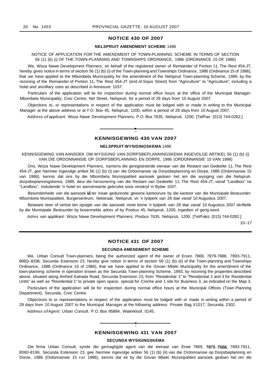## **NOTICE 430 OF 2007**

#### **NELSPRUIT AMENDMENT SCHEME** 1486

## NOTICE OF APPLICATION FOR THE AMENDMENT OF TOWN-PLANNING SCHEME IN TERMS OF SECTION 56 (1) (b) (i) OF THE TOWN-PLANNING AND TOWNSHIPS ORDINANCE, 1986 (ORDINANCE 15 OF 1986)

We, Woza Nawe Development Planners, on behalf of the registered owner of Remainder of Portion 11, The Rest 454-JT, hereby gives notice in terms of section 56 (1) (b) (i) of the Town-planning and Townships Ordinance, 1986 (Ordinance 15 of 1986), that we have applied to the Mbombela Municipality for the amendment of the Nelspruit Town-planning Scheme, 1989, by the rezoning of the Remainder of Portion 11, The Rest 454-JT (end of.Sojus Street) from "Agriculture" to "Agriculture", including a hotel and anciillary uses as described in Annexure 1037.

Particulars of the application will lie for inspection during normal office hours at the office of the Municipal Manager: Mbombela Municipality, Civic Centre, Nel Street, Nelspruit, for a period of 28 days from 10 August 2007.

Objections to, or representations in respect of the application must be lodged with or made in writing to the Municipal Manager at the above address or at P.O. Box 45, Nelspruit, 1200, within a period of 28 days from 10 August 2007.

Address of applicant: Woza Nawe Development Planners, P.O. Box 7635, Nelspruit, 1200. [Tel/Fax: (013) 744-0282.]

## **• KENNISGEWING 430 VAN 2007**

## **NELSPRUIT·WYSIGINGSKEMA** 1486

KENNISGEWING VAN AANSOEK OM WYSIGING VAN DORPSBEPLANNINGSKEMA INGEVOLGE ARTIKEL 56 (1) (b) (i) VAN DIE ORDONNANSIE OP DORPSBEPLANNING EN DORPE, 1986 (ORDONNANSIE 15 VAN 1986)

Ons, Woza Nawe Development Planners, namens die geregistreerde eienaar van die Restant van Gedeelte 11, The Rest 454-JT, gee hiermee ingevolge artikel 56 (1) (b) (i) van die Ordonnansie op Dorpsbeplanning en Dorpe, 1986 (Ordonnansie 15 van 1986), kennis dat ons by die Mbombela Munisipaliteit aansoek gedoen het am die wysiging van die Nelspruitdorpsbeplanningskema, 1989, deur die hersonering van die Restant van Gedeelte 11, The Rest 454-JT, vanaf "Landbou" na "Landbou", insluitende 'n hotel en aanverwante gebruike soos omskryf in Bylae 1037.

Besonderhede van die aansoek lê ter insae gedurende gewone kantoorure by die kantoor van die Munisipale Bestuurder: Mbombela Munisipaliteit, Burgersentrum, Nelstraat, Nelspruit, vir 'n tydperk van 28 dae vanaf 10 Augustus 2007.

Besware teen of vertoe ten opsigte van die aansoek moet binne 'n tydperk van 28 dae vanaf 10 Augustus 2007 skriftelik by die Munisipale Bestuurder by bovermelde adres of by Posbus 45, Nelspruit, 1200, ingedien of gerig word.

Adres van applikant: Woza Nawe Development Planners, Posbus 7635, Nelspruit, 1200. [Tel/Faks: (013) 744-0282.]

10--17

#### **NOTICE 431 OF 2007**

#### **SECUNDA AMENDMENT SCHEME**

We, Urban Consult Town-planners, being the authorized agent of the owner of Erven 7869, 7879-7888, 7893-7911, 806Q--8196, Secunda Extension 23, hereby give notice in terms of section 56 (1) (b) (ii) of the Town-planning and Townships Ordinance, 1986 (Ordinance 15 of 1986), that we have applied to the Govan Mbeki Municipality for the amendment of the town-planning scheme in operation known as the Secunda Town-planning Scheme, 1993, by rezoning the properties described above, situated along Amhed Katrada Road, Secunda Extension 23, from "Residential 1" to "Residential 2 and 3 for Residential Untts" as well as "Residential 1" to private open space, special for Creche and 1 site for Business 3, as indicated on the Map 3.

Particulars of the application will lie for inspection during normal office hours at the Municipal Offices (Town Planning Department), Secunda, Civic Centre.

Objections to or representations in respect of the application must be lodged with or made in writing within a period of 28 days from 10 August 2007 to the Municipal Manager at the following address: Private Bag X1017, Secunda, 2302.

Address ofAgent: Urban Consult. P.O. Box 95884, Waterkloof, 0145.

## **• KENNISGEWING 431 VAN 2007**

#### **SECUNDA WYSIGINGSKEMA**

Die firma Urban Consult, synde die gemagligde agent van die eienaar van Erwe 7869, 7879~7888, 7893-7911, 8060-8196, Secunda Extension 23, gee hiermee ingevolge artikei 56 (1) (b) (ii) van die Ordonnansie op Dorpsbeplanning en Doroe, 1986 (Ordonnansie 15 var 1986), kennis dat ek by die Govan Mbeki Munisipaliteit aansoek gedoen het om die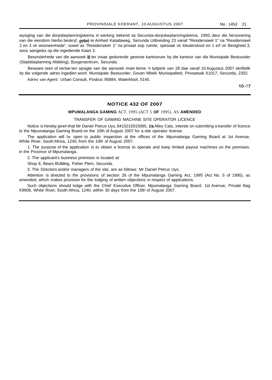wysiging van die dorpsbeplanningskema in werking bekend as Secunda-dorpsbeplanningskema, 1993, deur die hersonering van die eiendom hierbo beskryf, geleë te Amhed Katadaweg, Secunda Uitbreiding 23 vanaf "Residensieel 1" na "Residensieel 2 en 3 vir wooneenhede", sowel as "Residensieel 1" na privaat oop ruimte, spesiaal vir kleuterskool en 1 erf vir Besigheid 3, soos aangedui op die ingediende Kaart 3.

Besonderhede van die aansoek lê ter insae gedurende gewone kantoorure by die kantoor van die Munisipale Bestuurder (Stadsbeplanning Afdeling), Burgersentrum, Secunda.

Besware teen of vertoe ten opsigte van die aansoek moet binne 'n tydperk van 28 dae vanaf 10 Augustus 2007 skriftelik by die volgende adres ingedien word: Munisipale Bestuurder, Govan Mbeki Munisipaliteit, Privaatsak X1017, Secunda, 2302.

Adres van Agent: Urban Consult, Posbus 95884, Waterkloof, 0145.

 $10 - 17$ 

## **NOTICE 432 OF 2007**

## **MPUMALANGA GAMING** ACT, 1995 (ACT 5 **OF** 1995), AS **AMENDED**

### TRANSFER OF GAMING MACHINE SITE OPERATOR LICENCE

Notice is hereby given that Mr Daniel Petrus Uys, 8410215915085, *Va*Alley Cats, intends on submitting a transfer of licence to the Mpumalanga Gaming Board on the 10th of August 2007 for a site operator license.

The application will be open to public inspection at the offices of the Mpumalanga Gaming Board at 1st Avenue, White River, South Africa, 1240, from the 10th of August 2007.

1. The purpose of the application is to obtain a license to operate and keep limited payout machines on the premises, in the Province of Mpumalanga.

2. The applicant's business premises is located at:

Shop 8, Bears BUilding, Fisher Plein, Secunda.

3. The Directors and/or managers of the site, are as follows: Mr Daniel Petrus Uys.

Attention is directed to the provisions of section 26 of the Mpumalanga Gaming Act, 1995 (Act No. 5 of 1995), as amended, which makes provision for the lodging of written objections in respect of appiications.

Such objections should lodge with the Chief Executive Officer, Mpumalanga Gaming Board, 1st Avenue, Private Bag X9908, White River, South Africa, 1240, within 30 days from the 10th of August 2007.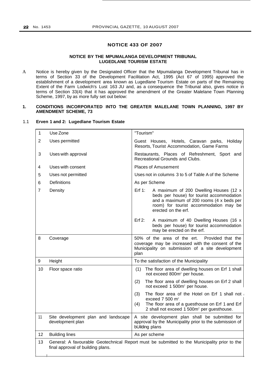## **NOTICE 433 OF 2007**

## **NOTICE BY THE MPUMALANGA DEVELOPMENT TRIBUNAL LUGEDLANE TOURISM ESTATE**

A Notice is hereby given by the Designated Officer that the Mpumalanga Development Tribunal has in terms of Section 33 of the Development Facilitation Act, 1995 (Act 67 of 1995) approved the establishment of a development area known as Lugedlane Tourism Estate on parts of the Remaining Extent of the Farm Lodwich's Lust 163 JU and, as a consequence the Tribunal also, gives notice in terms of Section 33(4) that it has approved the amendment of the Greater Malelane Town Planning Scheme, 1997, by as more fully set out below:

## **1. CONDITIONS INCORPORATED INTO THE GREATER MALELANE TOWN PLANNING, 1997 BY AMENDMENT SCHEME, 73**

#### 1.1 **Erven 1 and 2: Lugedlane Tourism Estate**

| 1  | Use Zone                                                | "Tourism"                                                                                                                                                                                                     |  |
|----|---------------------------------------------------------|---------------------------------------------------------------------------------------------------------------------------------------------------------------------------------------------------------------|--|
| 2  | Uses permitted                                          | Guest Houses, Hotels, Caravan parks, Holiday<br>Resorts, Tourist Accommodation, Game Farms                                                                                                                    |  |
| 3  | Uses with approval                                      | Restaurants, Places of Refreshment, Sport and<br>Recreational Grounds and Clubs.                                                                                                                              |  |
| 4  | Uses with consent                                       | <b>Places of Amusement</b>                                                                                                                                                                                    |  |
| 5  | Uses not permitted                                      | Uses not in columns 3 to 5 of Table A of the Scheme                                                                                                                                                           |  |
| 6  | <b>Definitions</b>                                      | As per Scheme                                                                                                                                                                                                 |  |
| 7  | Density                                                 | Erf $1$ :<br>A maximum of 200 Dwelling Houses (12 x<br>beds per house) for tourist accommodation<br>and a maximum of 200 rooms (4 x beds per<br>room) for tourist accommodation may be<br>erected on the erf. |  |
|    |                                                         | Erf 2:<br>A maximum of 40 Dwelling Houses (16 x<br>beds per house) for tourist accommodation<br>may be erected on the erf.                                                                                    |  |
| 8  | Coverage                                                | 50% of the area of the ert.<br>Provided that the<br>coverage may be increased with the consent of the<br>Municipality on submission of a site development<br>plan                                             |  |
| 9  | Height                                                  | To the satisfaction of the Municipality                                                                                                                                                                       |  |
| 10 | Floor space ratio                                       | The floor area of dwelling houses on Erf 1 shall<br>(1)<br>not exceed 800m <sup>2</sup> per house.                                                                                                            |  |
|    |                                                         | The floor area of dwelling houses on Erf 2 shall<br>(2)<br>not exceed 1 500m <sup>2</sup> per house.                                                                                                          |  |
|    |                                                         | The floor area of the Hotel on Erf 1 shall not<br>(3)<br>exceed $7500$ m <sup>2</sup> .<br>The floor area of a guesthouse on Erf 1 and Erf<br>(4)<br>2 shall not exceed 1 500m <sup>2</sup> per guesthouse.   |  |
| 11 | Site development plan and landscape<br>development plan | A site development plan shall be submitted for<br>approval by the Municipality prior to the submission of<br>bUilding plans                                                                                   |  |
| 12 | <b>Building lines</b>                                   | As per scheme                                                                                                                                                                                                 |  |
| 13 | final approval of building plans.                       | General: A favourable Geotechnical Report must be submitted to the Municipality prior to the                                                                                                                  |  |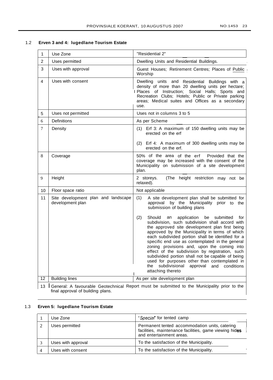$\overline{\phantom{a}}$ 

## 1.2 **Erven 3 and 4: lugedlane Tourism Estate**

| $\mathbf{1}$   | Use Zone                                                                                                                                   | "Residential 2"                                                                                                                                                                                                                                                                                                                                                                                                                                                                                                                                                                                           |  |
|----------------|--------------------------------------------------------------------------------------------------------------------------------------------|-----------------------------------------------------------------------------------------------------------------------------------------------------------------------------------------------------------------------------------------------------------------------------------------------------------------------------------------------------------------------------------------------------------------------------------------------------------------------------------------------------------------------------------------------------------------------------------------------------------|--|
| 2              | Uses permitted                                                                                                                             | Dwelling Units and Residential Buildings.                                                                                                                                                                                                                                                                                                                                                                                                                                                                                                                                                                 |  |
| 3              | Uses with approval                                                                                                                         | Guest Houses; Retirement Centres; Places of Public<br>Worship                                                                                                                                                                                                                                                                                                                                                                                                                                                                                                                                             |  |
| $\overline{4}$ | Uses with consent                                                                                                                          | Dwelling units and Residential Buildings with a<br>density of more than 20 dwelling units per hectare;<br>I Places of Instruction; Social Halls; Sports and<br>Recreation Clubs; Hotels; Public or Private parking<br>areas; Medical suites and Offices as a secondary<br>use.                                                                                                                                                                                                                                                                                                                            |  |
| 5              | Uses not permitted                                                                                                                         | Uses not in columns 3 to 5                                                                                                                                                                                                                                                                                                                                                                                                                                                                                                                                                                                |  |
| 6              | <b>Definitions</b>                                                                                                                         | As per Scheme                                                                                                                                                                                                                                                                                                                                                                                                                                                                                                                                                                                             |  |
| $\tau$         | Density                                                                                                                                    | (1) Erf 3: A maximum of 150 dwelling units may be<br>erected on the erf<br>(2) Erf 4: A maximum of 300 dwelling units may be<br>erected on the erf.                                                                                                                                                                                                                                                                                                                                                                                                                                                       |  |
| 8              | Coverage                                                                                                                                   | 50% of the area of the erf<br>Provided that the<br>coverage may be increased with the consent of the<br>Municipality on submission of a site development<br>plan.                                                                                                                                                                                                                                                                                                                                                                                                                                         |  |
| 9              | Height                                                                                                                                     | (The height restriction may not be<br>2 storeys.<br>relaxed).                                                                                                                                                                                                                                                                                                                                                                                                                                                                                                                                             |  |
| 10             | Floor space ratio                                                                                                                          | Not applicable                                                                                                                                                                                                                                                                                                                                                                                                                                                                                                                                                                                            |  |
| 11             | Site development plan and landscape<br>development plan                                                                                    | (1)<br>A site development plan shall be submitted for<br>approval by the Municipality prior to the<br>submission of building plans                                                                                                                                                                                                                                                                                                                                                                                                                                                                        |  |
|                |                                                                                                                                            | (2)<br>Should<br>application be submitted<br>an<br>for<br>subdivision, such subdivision shall accord with<br>the approved site development plan first being<br>approved by the Municipality in terms of which<br>each subdivided portion shall be identified for a<br>specific end use as contemplated in the general<br>zoning provisions and, upon the coming into<br>effect of the subdivision by registration, such<br>subdivided portion shall not be capable of being<br>used for purposes other than contemplated in<br>subdivisional<br>conditions<br>approval<br>and<br>the<br>attaching thereto |  |
| 12             | <b>Building lines</b>                                                                                                                      | As per site development plan                                                                                                                                                                                                                                                                                                                                                                                                                                                                                                                                                                              |  |
| 13             | <b>I</b> General: A favourable Geotechnical Report must be submitted to the Municipality prior to the<br>final approval of building plans. |                                                                                                                                                                                                                                                                                                                                                                                                                                                                                                                                                                                                           |  |

# 1.3 **Erven 5: lugedlane Tourism Estate**

| Use Zone           | "Special" for tented camp                                                                                                            |
|--------------------|--------------------------------------------------------------------------------------------------------------------------------------|
| Uses permitted     | Permanent tented accommodation units, catering<br>facilities, maintenance facilities, game viewing hides<br>and entertainment areas. |
| Uses with approval | To the satisfaction of the Municipality.                                                                                             |
| Uses with consent  | To the satisfaction of the Municipality.                                                                                             |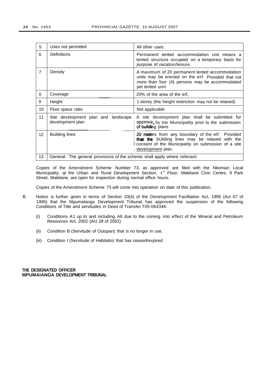| 5              | Uses not permitted                                                                                                                                                                    | All other uses.                                                                                                                                                                 |  |
|----------------|---------------------------------------------------------------------------------------------------------------------------------------------------------------------------------------|---------------------------------------------------------------------------------------------------------------------------------------------------------------------------------|--|
| 6              | Definitions                                                                                                                                                                           | Permanent tented accommodation unit means a<br>tented structure occupied on a temporary basis for<br>purpose of vacation/leisure.                                               |  |
| $\overline{7}$ | Density                                                                                                                                                                               | A maximum of 20 permanent tented accommodation<br>units may be erected on the erf Provided that not<br>more than four (4) persons may be accommodated<br>per tented unit        |  |
| 8              | Coverage                                                                                                                                                                              | 20% of the area of the erf,                                                                                                                                                     |  |
| 9              | Height                                                                                                                                                                                | 1 storey (the height restriction may not be relaxed)                                                                                                                            |  |
| 10             | Floor space ratio                                                                                                                                                                     | Not applicable                                                                                                                                                                  |  |
| 11             | Site development plan and landscape<br>A site development plan shall be submitted for<br>development plan<br>approva, by the Municipality pnor to the submission<br>of building plans |                                                                                                                                                                                 |  |
| 12             | <b>Building lines</b>                                                                                                                                                                 | 20 metres from any boundary of the erf: Provided<br>that the bUilding lines may be relaxed with the<br>consent of the Municipality on submission of a site<br>development plan. |  |
| 13             | General: The general provisions of the scheme shall apply where relevant                                                                                                              |                                                                                                                                                                                 |  |

Copies of the Amendment Scheme Number 73, as approved are filed with the Nkomazi Local Municipality, at the Urban and Rural Development Section, t" Floor, Malelane Civic Centre, 9 Park Street, Malelane, are open for inspection during normal office hours.

Copies of the Amendment Scheme 73 will come into operation on date of this publication.

- B. Notice is further given in terms of Section 33(4) of the Development Facilitation Act, 1995 (Act 67 of 1995) that the Mpumalanga Development Tribunal has approved the suspension of the following Conditions of Title and servitudes in Deed of Transfer T05-064346:
	- (i) Conditions A1 up to and including A6 due to the coming into effect of the Mineral and Petroleum Resources Act, 2002 (Act 28 of 2002)
	- (ii) Condition B (Servitude of Outspan) that is no longer in use.
	- (iii) Condition I (Servitude of Habitatio) that has ceased/expired.

**THE DESIGNATED OFFICER MPUMAlANGA DEVELOPMENT TRIBUNAL**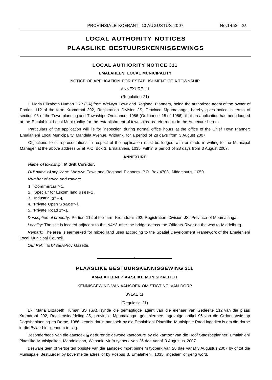## **LOCAL AUTHORITY NOTICES PLAASLIKE BESTUURSKENNISGEWINGS**

## **LOCAL AUTHORITY NOTICE 311**

#### **EMALAHLENI LOCAL MUNICIPALITY**

#### NOTICE OF APPLICATION FOR ESTABLISHMENT OF A TOWNSHIP

## ANNEXURE 11

### (Regulation 21)

I, Maria Elizabeth Human TRP (SA) from Welwyn Town and Regional Planners, being the authorized agent of the owner of Portion 112 of the farm Kromdraai 292, Registration Division JS, Province Mpumalanga, hereby gives notice in terms of section 96 of the Town-planning and Townships Ordinance, 1986 (Ordinance 15 of 1986), that an application has been lodged at the Emalahleni Local Municipality for the establishment of townships as referred to in the Annexure hereto.

Particulars of the application will lie for inspection during normal office hours at the office of the Chief Town Planner: Emalahleni Local Municipality, Mandela Avenue. Witbank, for a period of 28 days from 3 August 2007.

Objections to or representations in respect of the application must be lodged with or made in writing to the Municipal Manager at the above address or at P.O. Box 3. Ernalahleni, 1035. within a period of 28 days from 3 August 2007.

#### **ANNEXURE**

#### Name of township: **Midwlt Corridor.**

FuJI name of applicant: Welwyn Town and Regional Planners. P.O. Box 4708, Middelburg, 1050.

Number of erven and zoning:

1. "Commercial"-1.

2. "Special" for Eskom land uses-1.

3. "Industrial 3"--4.

4. "Private Open Space"-l.

5. "Private Road 1"-1.

Description of property: Portion 112 of the farm Kromdraai 292, Registration Division JS, Province of Mpumalanga.

Locality: The site is located adjacent to the N4Y3 after the bridge across the Olifants River on the way to Middelburg.

Remark: The area is earmarked for mixed land uses according to the Spatial Development Framework of the Emalehleni Local Municipal Council.

Our Ref: TE 043advProv Gazette.

## **PLAASLIKE BESTUURSKENNISGEWING 311**

**•**

#### **AMALAHLENI PlAASLIKE MUNISIPALITEIT**

KENNISGEWING VAN AANSOEK OM STIGTING VAN DORP

## BYLAE 11

#### (Regulasie 21)

Ek, Maria Elizabeth Human SS (SA). synde die gemagtigde agent van die eienaar van Gedeelte 112 van die plaas Kromdraai 292, Registrasieafdeling JS, provinsie Mpumalanga. gee hiermee ingevolge artikel 96 van die Ordonnansie op Dorpsbeplanning en Dorpe, 1986. kennis dat 'n aansoek by die Emalahleni Plaaslike Munisipale Raad ingedien is om die dorpe in die Bylae hier genoem te stig.

Besonderhede van die aansoek lê gedurende gewone kantoorure by die kantoor van die Hoof Stadsbeplanner: Emalahleni Plaaslike Munisipaliteit. Mandelalaan, Witbank. vir 'n tydperk van 26 dae vanaf 3 Augustus 2007.

Besware teen of vertoe ten opsigte van die aansoek moet binne 'n tydperk van 28 dae vanaf 3 Augustus 2007 by of tot die Munisipale Bestuurder by bovermelde adres of by Posbus 3, Emalahleni. 1035, ingedien of gerig word.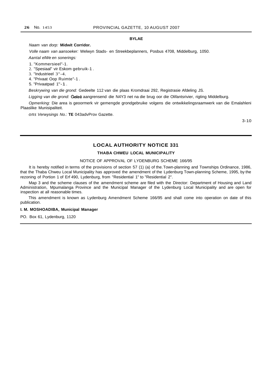### **BYLAE**

#### Naam van dorp: **Midwit Corridor.**

Volle naam van aansoeker: Welwyn Stads- en Streekbeplanners, Posbus 4708, Middelburg, 1050.

Aantal elWe en sonerings:

1. "Kommersieel"-1.

2. "Spesiaal" vir Eskom gebruik-1 .

3. "Industrieel 3"-4.

4. "Privaat Oop Ruimte"-1 .

5. "Privaatpad 1"-1 .

Beskrywing van die grond: Gedeelte 112 van die plaas Kromdraai 292, Registrasie Afdeling JS.

Ligging van die grond: Geleë aangrensend die N4Y3 net na die brug oor die Olifantsrivier, rigting Middelburg.

Opmerking: Die area is geoormerk vir gemengde grondgebruike volgens die ontwikkelingsraamwerk van die Emalahleni Plaaslike Munisipaliteit.

*ons* Verwysings No.: **TE** 043advProv Gazette.

3-10

## **LOCAL AUTHORITY NOTICE 331**

#### **THABA CHWEU LOCAL MUNICIPALITY**

#### NOTICE OF APPROVAL OF LYDENBURG SCHEME 166/95

It is hereby notified in terms of the provisions of section 57 (1) (a) of the.Town-planning and Townships Ordinance, 1986, that the Thaba Chweu Local Municipality has approved the amendment of the Lydenburg Town-planning Scheme, 1995, by the rezoning of Portion 1 of Erf 490, Lydenburg, from "Residential 1" to "Residential 2".

Map 3 and the scheme clauses of the amendment scheme are filed with the Director: Department of Housing and Land Administration, Mpumalanga Province and the Municipal Manager of the Lydenburg Local Municipality and are open for inspection at all reasonable times.

This amendment is known as Lydenburg Amendment Scheme 166/95 and shall come into operation on date of this publication.

#### **I. M. MOSHOADIBA, Municipal Manager**

PO. Box 61, Lydenburg, 1120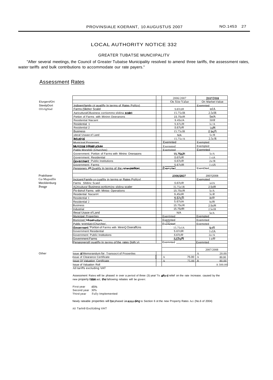## LOCAL AUTHORITY NOTICE 332

## GREATER TUBATSE MUNCIIPALITV

"After several meetings, the Council of Greater Tubatse Municipality resolved to amend three tariffs, the assessment rates, water tariffs and bulk contributions to accommodate our rate payers."

## Assessment Rates

 $\Gamma$ 

ElurgersfOrt SteelpDort

Ol1rlgSlad

Praktlseer Ga·Mapodlle Mecklenburg Penge

Other

|                                                       | 2006/2007     | 2007/2008         |
|-------------------------------------------------------|---------------|-------------------|
|                                                       | On Site Value | On Market Value   |
| Indioentfamily (If auallfy In terms of Rates Pollcy)  |               | Exemnted          |
| <b>Farms (Slicincr Scalel</b>                         | 5.67c1R       | telA              |
| AaricutturalCBusiness cortiommo slidina Scale)        | 15.75clR      | $2.5$ clR         |
| Portion of Farms with Mininn Oeeranons                | 15.75clR      | 5e/A              |
| <b>Residential Nacant</b>                             | 9.45c/A       | 50/R              |
| Residential 1                                         | 5.67c/R       | lc/A              |
| Residential 2                                         | 5.67c/R       | 1c/R              |
| <b>Business</b>                                       | 15.75clR      | 2.5c/R            |
| utecal Usaae of Land                                  | N/A           | 5c/R              |
| Industrial                                            | 15.75c/A      | 2.5c/R            |
| Municioal Pronernes                                   | Exemnted      | Exempted          |
| Municipal Infrastructure                              | Exernnted     | Exempted          |
| Public WorshiD (Churches)                             | Exemoted      | Exemnted          |
| Government: Portion of Farms with Minino Oneraaons    | 15.75c/R      | 5c/A              |
| Government: Residential                               | 5.67c/R       | 1 ciA             |
| Government : Public Institutions                      | 5.67c/R       | 2e/R              |
| Government: Farms                                     | 5.67clR       | $1$ $ciA$         |
| Pensioners (If Qualify In terms of the rates policy)  | Exempted_     | ExemDted_         |
|                                                       |               |                   |
|                                                       | 2006/2007     | 2007(2008)        |
| Inctcent Family (if cuallty in terms or Rates Pollcyl |               | Exemoted          |
| Farms Sildinc Scatel                                  | 5.67c/R       | telA              |
| A(Jricuitura! Business ocrticm (no slidina scaler     | 15.75e1R      | 2.5clR            |
| Po-tionof Farms with Minioo Operations                | 15.75c/R      | 5c/A              |
| Residential NacanH                                    | 9,45clR       | 5c/R              |
| Residential 1                                         | 5.67c/R       | le/R              |
| Residential 2                                         | 5.67clA       | lc/R              |
| Business                                              | 15.75c/R      | 2.5c/R            |
| Industrial                                            | 15.75cfR      | 2.5e1R            |
| Illeoal Usaoe of Land                                 | N/A           | 5e/A              |
| Municipal Properties                                  | Exerrtnted    | Exempted          |
| Municioet infrastructure                              | Exemnted      | Exemnted          |
| Public worstao (Churches',                            | Exempted_     | Exemoted          |
| Government 'Portion of Farms with MininQ Ooeraffcns   | 15.75cIA      | 5c/R              |
| Government Residential                                | 5.67clR       | 1cIA              |
| Government: Public Institutions                       | 5.67c/R       | 2e/A              |
| Government:Farms                                      | 5.67c/R       | 1 c/R             |
| Penaionerstl! ouallfy In terms of the rates Dolh:: v\ | Exemnted _    | Exemnted          |
|                                                       |               |                   |
|                                                       |               | 2007/2008         |
| Issue Of Memorandum for Transocrt of Prooertles       |               | 20.00<br>A        |
| Ilssue of Clearance Certificate                       | 75.00<br>А    | А<br>80.00        |
| Issue Of Valuation Certificate                        | 75.00         | $\Delta$<br>80.00 |
| Issue of Valuation Roll                               |               | A 500.00          |
| All tariffs excluding VAT                             |               |                   |

Assessment Rates will be phased in over a period of three (3) year' To afford relief on the rate increase. caused by the new property rates act, the fallowing rebates will be given:

First year Second year 30% Third year 45% Fully Implemented

Newly rateable properties will be phased in according to Section 6 ot the new Property Rates Act (No.6 of 2004)

All Tarln9 ExclUding VAT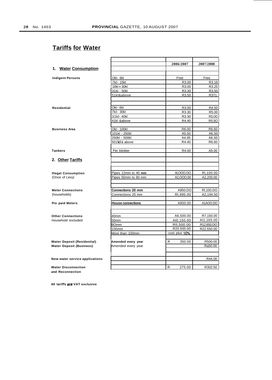## **Tariffs for Water**

|                                                |                          | 2006/2007     | 2007/2008    |
|------------------------------------------------|--------------------------|---------------|--------------|
| 1. Water Consumption                           |                          |               |              |
|                                                |                          |               |              |
| <b>Indigent Persons</b>                        | Okl- 6kl                 | Free          | Free         |
|                                                | 7kl- 15kl                | R3.00         | R3.18        |
|                                                | 16kl 30kl                | R3.00         | R3.25        |
|                                                | 31kl - 50kl              | R3.30         | R3.50        |
|                                                | 51kl&above               | R3.50         | R371         |
| Residential                                    | Okl - 6kl                | R3.00         | R4.50        |
|                                                | 7kl- 30kl                | R3.30         | R5.00        |
|                                                | 31kl-40kl                | R3.30         | <b>RS.00</b> |
|                                                | 41kl &above              | R4.40         | <b>RS.50</b> |
| <b>Business Area</b>                           | Okl - 100kl              | R6.00         | R6.60        |
|                                                | 101kl - 250kl            | A5.50         | A6.S0        |
|                                                | 250kl - 500kl            | A4.95         | A6.S0        |
|                                                | 501 kl & above           | R4.40         | R6.60        |
| <b>Tankers</b>                                 | Per kiloliter            | R4.00         | A5.00        |
| 2. Other Tariffs                               |                          |               |              |
|                                                |                          |               |              |
| <b>Illegal Consumption</b>                     | Pipes 12mm to 40 mm      | AI,000.00     | RI, 100.00   |
| (Once of Levy)                                 | Pipes 50mm to 90 mm      | A2,000.00     | A2,200.00    |
| <b>Meter Connections</b>                       | Connections 20 mm        | A950.DO       | RI,100.DO    |
| (households)                                   | Connections 25 mm        | RI,995.00     | A2,194.50    |
|                                                |                          |               |              |
| Pre paid Meters                                | <b>House connections</b> | A950.00       | A1AOO.DO     |
| <b>Other Connections</b>                       | 40mm                     | A6,500.00     | R7,150.00    |
| Household excluded                             | 50mm                     | AI0,150.00    | AI1,165.00   |
|                                                | <b>BOmm</b>              | RII,500.00    | R12,650.DO   |
|                                                | 100mm                    | R20.500.00    | R22.550.00   |
|                                                | More than 100mm          | cost plus 10% |              |
| <b>Water Deposit (Residential)</b>             | Amended every year       | 350.00<br>R   | R500.00      |
| <b>Water Deposit (Business)</b>                | Amended every year       |               | Ra50.00      |
|                                                |                          |               | R44.00       |
| New water service applications                 |                          |               |              |
| <b>Water Disconnection</b><br>and Reconnection |                          | 275.00<br>R   | R302.50      |

**All tariffs are VAT exclusive**